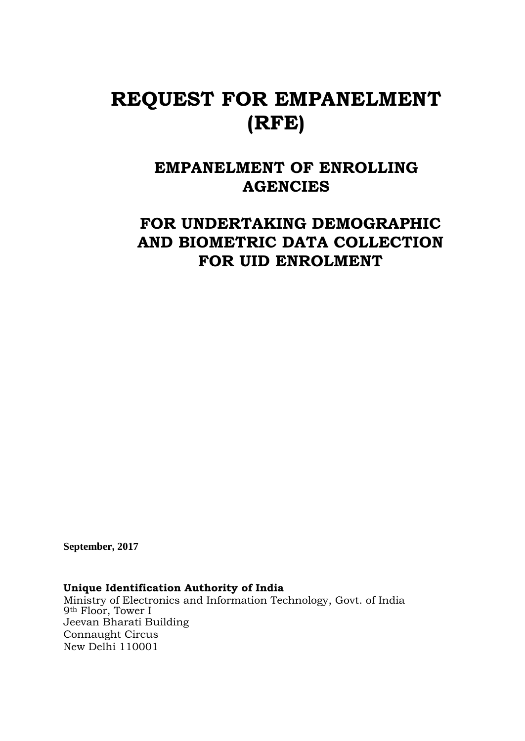# **REQUEST FOR EMPANELMENT (RFE)**

# **EMPANELMENT OF ENROLLING AGENCIES**

# **FOR UNDERTAKING DEMOGRAPHIC AND BIOMETRIC DATA COLLECTION FOR UID ENROLMENT**

**September, 2017**

# **Unique Identification Authority of India**

Ministry of Electronics and Information Technology, Govt. of India 9th Floor, Tower I Jeevan Bharati Building Connaught Circus New Delhi 110001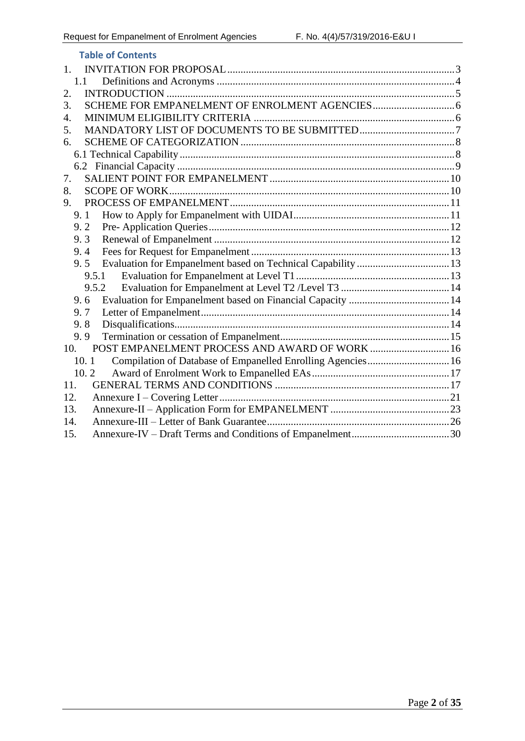| <b>Table of Contents</b>                                            |  |
|---------------------------------------------------------------------|--|
| 1.                                                                  |  |
| 1.1                                                                 |  |
| 2.                                                                  |  |
| 3.                                                                  |  |
| 4.                                                                  |  |
| 5.                                                                  |  |
| 6.                                                                  |  |
|                                                                     |  |
|                                                                     |  |
| 7.                                                                  |  |
| 8.                                                                  |  |
| 9.                                                                  |  |
| 9.1                                                                 |  |
| 9.2                                                                 |  |
| 9.3                                                                 |  |
| 9.4                                                                 |  |
| 9.5                                                                 |  |
| 9.5.1                                                               |  |
| 9.5.2                                                               |  |
| 9.6                                                                 |  |
| 9.7                                                                 |  |
| 9.8                                                                 |  |
| 9.9                                                                 |  |
| 10.                                                                 |  |
| Compilation of Database of Empanelled Enrolling Agencies 16<br>10.1 |  |
| 10.2                                                                |  |
| 11.                                                                 |  |
| 12.                                                                 |  |
| 13.                                                                 |  |
| 14.                                                                 |  |
| 15.                                                                 |  |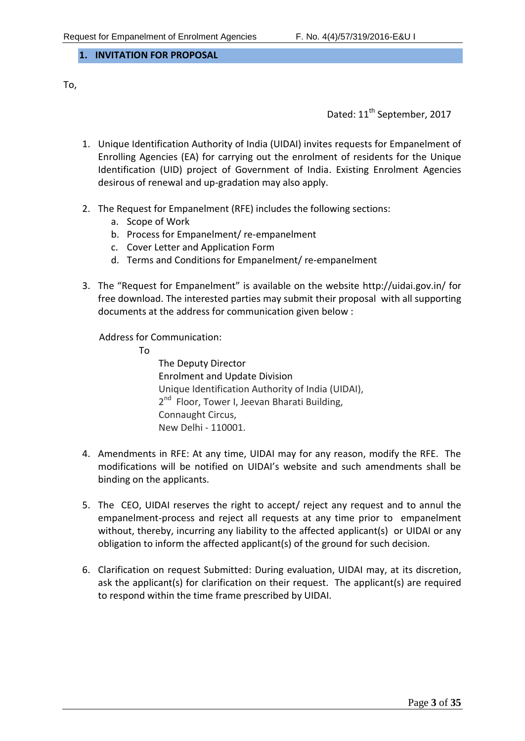<span id="page-2-0"></span>**1. INVITATION FOR PROPOSAL**

To,

Dated: 11<sup>th</sup> September, 2017

- 1. Unique Identification Authority of India (UIDAI) invites requests for Empanelment of Enrolling Agencies (EA) for carrying out the enrolment of residents for the Unique Identification (UID) project of Government of India. Existing Enrolment Agencies desirous of renewal and up-gradation may also apply.
- 2. The Request for Empanelment (RFE) includes the following sections:
	- a. Scope of Work
	- b. Process for Empanelment/ re-empanelment
	- c. Cover Letter and Application Form
	- d. Terms and Conditions for Empanelment/ re-empanelment
- 3. The "Request for Empanelment" is available on the website <http://uidai.gov.in/> for free download. The interested parties may submit their proposal with all supporting documents at the address for communication given below :

Address for Communication:

To

The Deputy Director Enrolment and Update Division Unique Identification Authority of India (UIDAI), 2<sup>nd</sup> Floor, Tower I, Jeevan Bharati Building, Connaught Circus, New Delhi - 110001.

- 4. Amendments in RFE: At any time, UIDAI may for any reason, modify the RFE. The modifications will be notified on UIDAI's website and such amendments shall be binding on the applicants.
- 5. The CEO, UIDAI reserves the right to accept/ reject any request and to annul the empanelment-process and reject all requests at any time prior to empanelment without, thereby, incurring any liability to the affected applicant(s) or UIDAI or any obligation to inform the affected applicant(s) of the ground for such decision.
- 6. Clarification on request Submitted: During evaluation, UIDAI may, at its discretion, ask the applicant(s) for clarification on their request. The applicant(s) are required to respond within the time frame prescribed by UIDAI.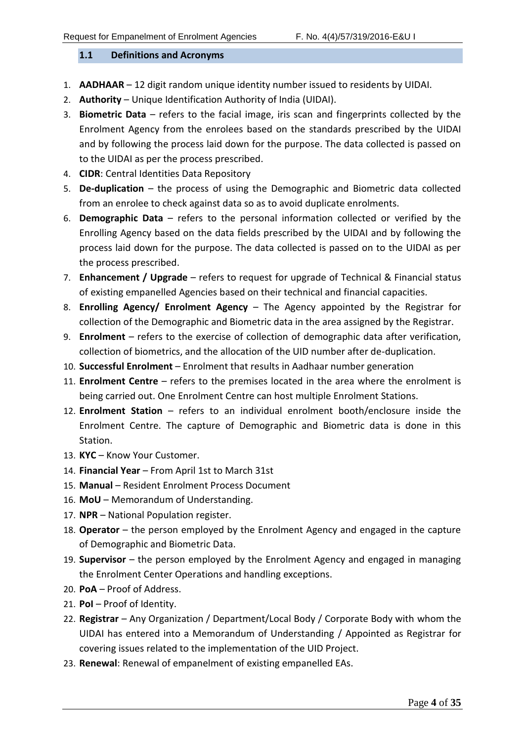#### <span id="page-3-0"></span>**1.1 Definitions and Acronyms**

- 1. **AADHAAR** 12 digit random unique identity number issued to residents by UIDAI.
- 2. **Authority** Unique Identification Authority of India (UIDAI).
- 3. **Biometric Data** refers to the facial image, iris scan and fingerprints collected by the Enrolment Agency from the enrolees based on the standards prescribed by the UIDAI and by following the process laid down for the purpose. The data collected is passed on to the UIDAI as per the process prescribed.
- 4. **CIDR**: Central Identities Data Repository
- 5. **De-duplication** the process of using the Demographic and Biometric data collected from an enrolee to check against data so as to avoid duplicate enrolments.
- 6. **Demographic Data** refers to the personal information collected or verified by the Enrolling Agency based on the data fields prescribed by the UIDAI and by following the process laid down for the purpose. The data collected is passed on to the UIDAI as per the process prescribed.
- 7. **Enhancement / Upgrade** refers to request for upgrade of Technical & Financial status of existing empanelled Agencies based on their technical and financial capacities.
- 8. **Enrolling Agency/ Enrolment Agency** The Agency appointed by the Registrar for collection of the Demographic and Biometric data in the area assigned by the Registrar.
- 9. **Enrolment** refers to the exercise of collection of demographic data after verification, collection of biometrics, and the allocation of the UID number after de-duplication.
- 10. **Successful Enrolment**  Enrolment that results in Aadhaar number generation
- 11. **Enrolment Centre** refers to the premises located in the area where the enrolment is being carried out. One Enrolment Centre can host multiple Enrolment Stations.
- 12. **Enrolment Station** refers to an individual enrolment booth/enclosure inside the Enrolment Centre. The capture of Demographic and Biometric data is done in this Station.
- 13. **KYC** Know Your Customer.
- 14. **Financial Year**  From April 1st to March 31st
- 15. **Manual** Resident Enrolment Process Document
- 16. **MoU** Memorandum of Understanding.
- 17. **NPR** National Population register.
- 18. **Operator** the person employed by the Enrolment Agency and engaged in the capture of Demographic and Biometric Data.
- 19. **Supervisor**  the person employed by the Enrolment Agency and engaged in managing the Enrolment Center Operations and handling exceptions.
- 20. **PoA** Proof of Address.
- 21. **PoI** Proof of Identity.
- 22. **Registrar** Any Organization / Department/Local Body / Corporate Body with whom the UIDAI has entered into a Memorandum of Understanding / Appointed as Registrar for covering issues related to the implementation of the UID Project.
- 23. **Renewal**: Renewal of empanelment of existing empanelled EAs.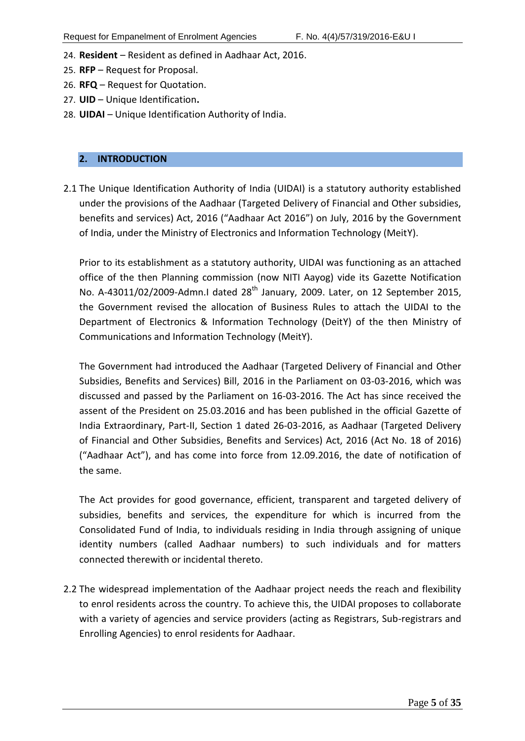- 24. **Resident** Resident as defined in Aadhaar Act, 2016.
- 25. **RFP** Request for Proposal.
- 26. **RFQ**  Request for Quotation.
- 27. **UID** Unique Identification**.**
- 28. **UIDAI** Unique Identification Authority of India.

#### <span id="page-4-0"></span>**2. INTRODUCTION**

2.1 The Unique Identification Authority of India (UIDAI) is a statutory authority established under the provisions of the Aadhaar (Targeted Delivery of Financial and Other subsidies, benefits and services) Act, 2016 ("Aadhaar Act 2016") on July, 2016 by the Government of India, under the Ministry of Electronics and Information Technology (MeitY).

Prior to its establishment as a statutory authority, UIDAI was functioning as an attached office of the then Planning commission (now NITI Aayog) vide its Gazette Notification No. A-43011/02/2009-Admn.I dated 28<sup>th</sup> January, 2009. Later, on 12 September 2015, the Government revised the allocation of Business Rules to attach the UIDAI to the Department of Electronics & Information Technology (DeitY) of the then Ministry of Communications and Information Technology (MeitY).

The Government had introduced the Aadhaar (Targeted Delivery of Financial and Other Subsidies, Benefits and Services) Bill, 2016 in the Parliament on 03-03-2016, which was discussed and passed by the Parliament on 16-03-2016. The Act has since received the assent of the President on 25.03.2016 and has been published in the official Gazette of India Extraordinary, Part-II, Section 1 dated 26-03-2016, as Aadhaar (Targeted Delivery of Financial and Other Subsidies, Benefits and Services) Act, 2016 (Act No. 18 of 2016) ("Aadhaar Act"), and has come into force from 12.09.2016, the date of notification of the same.

The Act provides for good governance, efficient, transparent and targeted delivery of subsidies, benefits and services, the expenditure for which is incurred from the Consolidated Fund of India, to individuals residing in India through assigning of unique identity numbers (called Aadhaar numbers) to such individuals and for matters connected therewith or incidental thereto.

2.2 The widespread implementation of the Aadhaar project needs the reach and flexibility to enrol residents across the country. To achieve this, the UIDAI proposes to collaborate with a variety of agencies and service providers (acting as Registrars, Sub-registrars and Enrolling Agencies) to enrol residents for Aadhaar.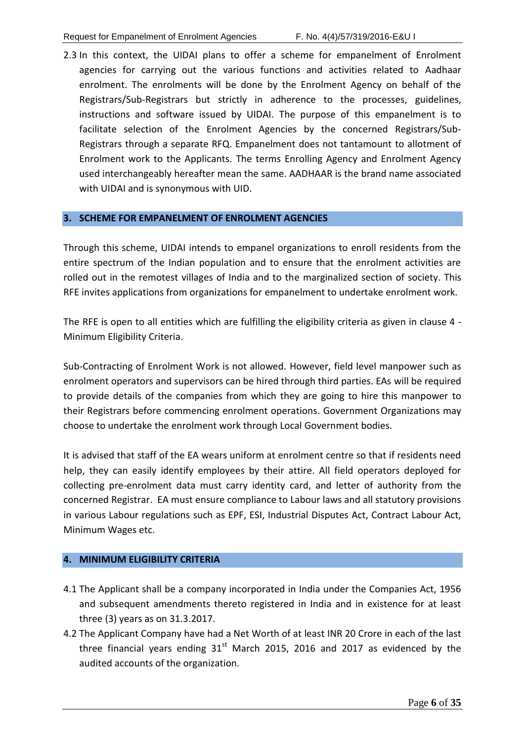2.3 In this context, the UIDAI plans to offer a scheme for empanelment of Enrolment agencies for carrying out the various functions and activities related to Aadhaar enrolment. The enrolments will be done by the Enrolment Agency on behalf of the Registrars/Sub-Registrars but strictly in adherence to the processes, guidelines, instructions and software issued by UIDAI. The purpose of this empanelment is to facilitate selection of the Enrolment Agencies by the concerned Registrars/Sub-Registrars through a separate RFQ. Empanelment does not tantamount to allotment of Enrolment work to the Applicants. The terms Enrolling Agency and Enrolment Agency used interchangeably hereafter mean the same. AADHAAR is the brand name associated with UIDAI and is synonymous with UID.

#### <span id="page-5-0"></span>**3. SCHEME FOR EMPANELMENT OF ENROLMENT AGENCIES**

Through this scheme, UIDAI intends to empanel organizations to enroll residents from the entire spectrum of the Indian population and to ensure that the enrolment activities are rolled out in the remotest villages of India and to the marginalized section of society. This RFE invites applications from organizations for empanelment to undertake enrolment work.

The RFE is open to all entities which are fulfilling the eligibility criteria as given in clause 4 - Minimum Eligibility Criteria.

Sub-Contracting of Enrolment Work is not allowed. However, field level manpower such as enrolment operators and supervisors can be hired through third parties. EAs will be required to provide details of the companies from which they are going to hire this manpower to their Registrars before commencing enrolment operations. Government Organizations may choose to undertake the enrolment work through Local Government bodies.

It is advised that staff of the EA wears uniform at enrolment centre so that if residents need help, they can easily identify employees by their attire. All field operators deployed for collecting pre-enrolment data must carry identity card, and letter of authority from the concerned Registrar. EA must ensure compliance to Labour laws and all statutory provisions in various Labour regulations such as EPF, ESI, Industrial Disputes Act, Contract Labour Act, Minimum Wages etc.

#### <span id="page-5-1"></span>**4. MINIMUM ELIGIBILITY CRITERIA**

- 4.1 The Applicant shall be a company incorporated in India under the Companies Act, 1956 and subsequent amendments thereto registered in India and in existence for at least three (3) years as on 31.3.2017.
- 4.2 The Applicant Company have had a Net Worth of at least INR 20 Crore in each of the last three financial years ending  $31<sup>st</sup>$  March 2015, 2016 and 2017 as evidenced by the audited accounts of the organization.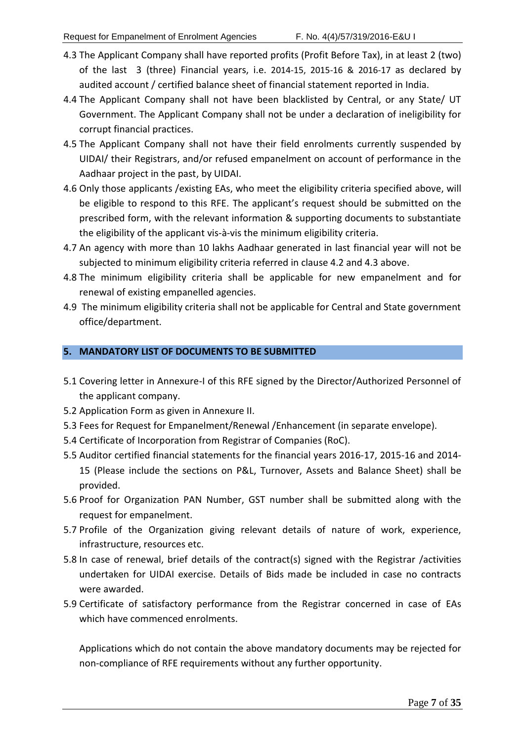- 4.3 The Applicant Company shall have reported profits (Profit Before Tax), in at least 2 (two) of the last 3 (three) Financial years, i.e. 2014-15, 2015-16 & 2016-17 as declared by audited account / certified balance sheet of financial statement reported in India.
- 4.4 The Applicant Company shall not have been blacklisted by Central, or any State/ UT Government. The Applicant Company shall not be under a declaration of ineligibility for corrupt financial practices.
- 4.5 The Applicant Company shall not have their field enrolments currently suspended by UIDAI/ their Registrars, and/or refused empanelment on account of performance in the Aadhaar project in the past, by UIDAI.
- 4.6 Only those applicants /existing EAs, who meet the eligibility criteria specified above, will be eligible to respond to this RFE. The applicant's request should be submitted on the prescribed form, with the relevant information & supporting documents to substantiate the eligibility of the applicant vis-à-vis the minimum eligibility criteria.
- 4.7 An agency with more than 10 lakhs Aadhaar generated in last financial year will not be subjected to minimum eligibility criteria referred in clause 4.2 and 4.3 above.
- 4.8 The minimum eligibility criteria shall be applicable for new empanelment and for renewal of existing empanelled agencies.
- 4.9 The minimum eligibility criteria shall not be applicable for Central and State government office/department.

#### <span id="page-6-0"></span>**5. MANDATORY LIST OF DOCUMENTS TO BE SUBMITTED**

- 5.1 Covering letter in Annexure-I of this RFE signed by the Director/Authorized Personnel of the applicant company.
- 5.2 Application Form as given in Annexure II.
- 5.3 Fees for Request for Empanelment/Renewal /Enhancement (in separate envelope).
- 5.4 Certificate of Incorporation from Registrar of Companies (RoC).
- 5.5 Auditor certified financial statements for the financial years 2016-17, 2015-16 and 2014- 15 (Please include the sections on P&L, Turnover, Assets and Balance Sheet) shall be provided.
- 5.6 Proof for Organization PAN Number, GST number shall be submitted along with the request for empanelment.
- 5.7 Profile of the Organization giving relevant details of nature of work, experience, infrastructure, resources etc.
- 5.8 In case of renewal, brief details of the contract(s) signed with the Registrar /activities undertaken for UIDAI exercise. Details of Bids made be included in case no contracts were awarded.
- 5.9 Certificate of satisfactory performance from the Registrar concerned in case of EAs which have commenced enrolments.

Applications which do not contain the above mandatory documents may be rejected for non-compliance of RFE requirements without any further opportunity.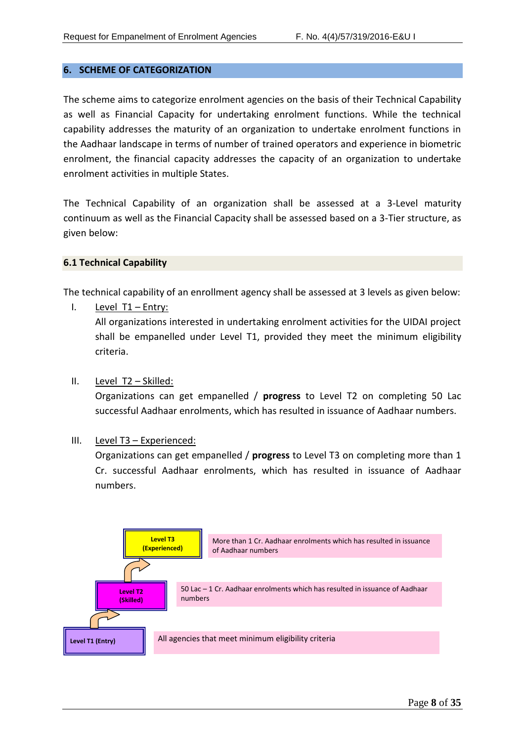#### <span id="page-7-0"></span>**6. SCHEME OF CATEGORIZATION**

The scheme aims to categorize enrolment agencies on the basis of their Technical Capability as well as Financial Capacity for undertaking enrolment functions. While the technical capability addresses the maturity of an organization to undertake enrolment functions in the Aadhaar landscape in terms of number of trained operators and experience in biometric enrolment, the financial capacity addresses the capacity of an organization to undertake enrolment activities in multiple States.

The Technical Capability of an organization shall be assessed at a 3-Level maturity continuum as well as the Financial Capacity shall be assessed based on a 3-Tier structure, as given below:

#### <span id="page-7-1"></span>**6.1 Technical Capability**

The technical capability of an enrollment agency shall be assessed at 3 levels as given below:

I. Level T1 – Entry:

All organizations interested in undertaking enrolment activities for the UIDAI project shall be empanelled under Level T1, provided they meet the minimum eligibility criteria.

#### II. Level T2 – Skilled:

Organizations can get empanelled / **progress** to Level T2 on completing 50 Lac successful Aadhaar enrolments, which has resulted in issuance of Aadhaar numbers.

III. Level T3 – Experienced:

Organizations can get empanelled / **progress** to Level T3 on completing more than 1 Cr. successful Aadhaar enrolments, which has resulted in issuance of Aadhaar numbers.

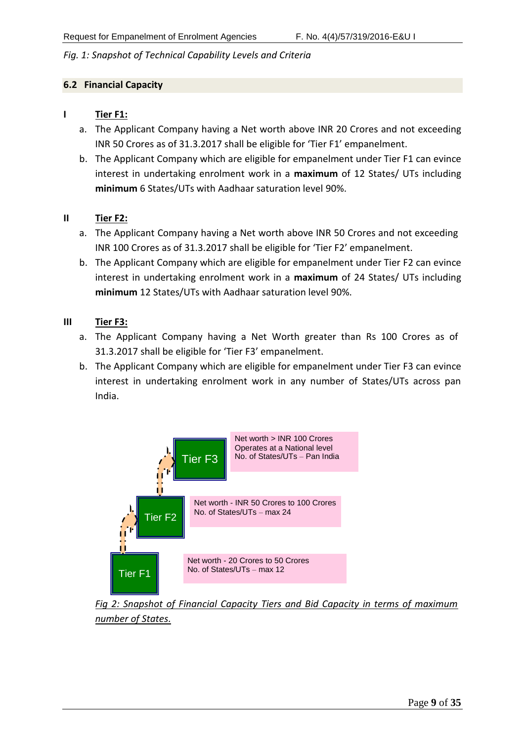*Fig. 1: Snapshot of Technical Capability Levels and Criteria*

#### <span id="page-8-0"></span>**6.2 Financial Capacity**

#### **I Tier F1:**

- a. The Applicant Company having a Net worth above INR 20 Crores and not exceeding INR 50 Crores as of 31.3.2017 shall be eligible for 'Tier F1' empanelment.
- b. The Applicant Company which are eligible for empanelment under Tier F1 can evince interest in undertaking enrolment work in a **maximum** of 12 States/ UTs including **minimum** 6 States/UTs with Aadhaar saturation level 90%.

#### **II Tier F2:**

- a. The Applicant Company having a Net worth above INR 50 Crores and not exceeding INR 100 Crores as of 31.3.2017 shall be eligible for 'Tier F2' empanelment.
- b. The Applicant Company which are eligible for empanelment under Tier F2 can evince interest in undertaking enrolment work in a **maximum** of 24 States/ UTs including **minimum** 12 States/UTs with Aadhaar saturation level 90%.

#### **III Tier F3:**

- a. The Applicant Company having a Net Worth greater than Rs 100 Crores as of 31.3.2017 shall be eligible for 'Tier F3' empanelment.
- b. The Applicant Company which are eligible for empanelment under Tier F3 can evince interest in undertaking enrolment work in any number of States/UTs across pan India.



*Fig 2: Snapshot of Financial Capacity Tiers and Bid Capacity in terms of maximum number of States.*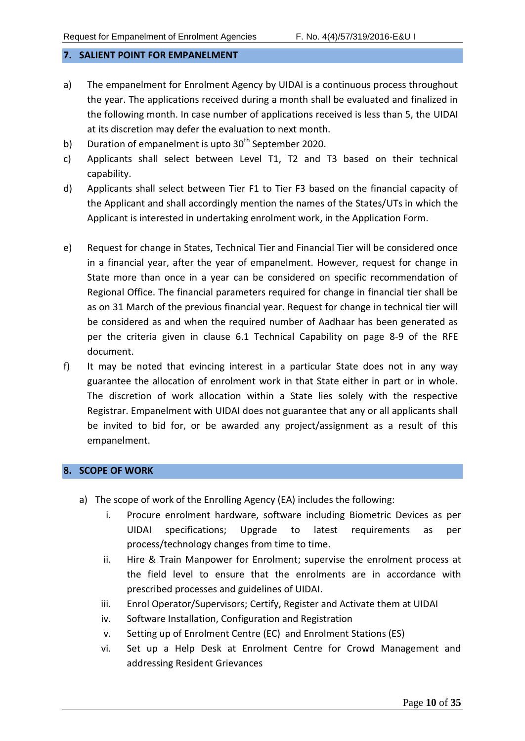#### <span id="page-9-0"></span>**7. SALIENT POINT FOR EMPANELMENT**

- a) The empanelment for Enrolment Agency by UIDAI is a continuous process throughout the year. The applications received during a month shall be evaluated and finalized in the following month. In case number of applications received is less than 5, the UIDAI at its discretion may defer the evaluation to next month.
- b) Duration of empanelment is upto  $30<sup>th</sup>$  September 2020.
- c) Applicants shall select between Level T1, T2 and T3 based on their technical capability.
- d) Applicants shall select between Tier F1 to Tier F3 based on the financial capacity of the Applicant and shall accordingly mention the names of the States/UTs in which the Applicant is interested in undertaking enrolment work, in the Application Form.
- e) Request for change in States, Technical Tier and Financial Tier will be considered once in a financial year, after the year of empanelment. However, request for change in State more than once in a year can be considered on specific recommendation of Regional Office. The financial parameters required for change in financial tier shall be as on 31 March of the previous financial year. Request for change in technical tier will be considered as and when the required number of Aadhaar has been generated as per the criteria given in clause 6.1 Technical Capability on page 8-9 of the RFE document.
- f) It may be noted that evincing interest in a particular State does not in any way guarantee the allocation of enrolment work in that State either in part or in whole. The discretion of work allocation within a State lies solely with the respective Registrar. Empanelment with UIDAI does not guarantee that any or all applicants shall be invited to bid for, or be awarded any project/assignment as a result of this empanelment.

#### <span id="page-9-1"></span>**8. SCOPE OF WORK**

- a) The scope of work of the Enrolling Agency (EA) includes the following:
	- i. Procure enrolment hardware, software including Biometric Devices as per UIDAI specifications; Upgrade to latest requirements as per process/technology changes from time to time.
	- ii. Hire & Train Manpower for Enrolment; supervise the enrolment process at the field level to ensure that the enrolments are in accordance with prescribed processes and guidelines of UIDAI.
	- iii. Enrol Operator/Supervisors; Certify, Register and Activate them at UIDAI
	- iv. Software Installation, Configuration and Registration
	- v. Setting up of Enrolment Centre (EC) and Enrolment Stations (ES)
	- vi. Set up a Help Desk at Enrolment Centre for Crowd Management and addressing Resident Grievances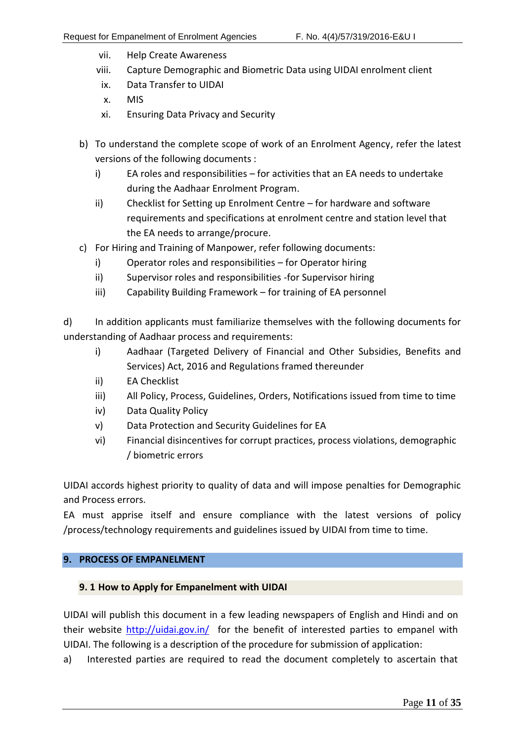- vii. Help Create Awareness
- viii. Capture Demographic and Biometric Data using UIDAI enrolment client
- ix. Data Transfer to UIDAI
- x. MIS
- xi. Ensuring Data Privacy and Security
- b) To understand the complete scope of work of an Enrolment Agency, refer the latest versions of the following documents :
	- i) EA roles and responsibilities for activities that an EA needs to undertake during the Aadhaar Enrolment Program.
	- ii) Checklist for Setting up Enrolment Centre for hardware and software requirements and specifications at enrolment centre and station level that the EA needs to arrange/procure.
- c) For Hiring and Training of Manpower, refer following documents:
	- i) Operator roles and responsibilities for Operator hiring
	- ii) Supervisor roles and responsibilities -for Supervisor hiring
	- iii) Capability Building Framework for training of EA personnel

d) In addition applicants must familiarize themselves with the following documents for understanding of Aadhaar process and requirements:

- i) Aadhaar (Targeted Delivery of Financial and Other Subsidies, Benefits and Services) Act, 2016 and Regulations framed thereunder
- ii) EA Checklist
- iii) All Policy, Process, Guidelines, Orders, Notifications issued from time to time
- iv) Data Quality Policy
- v) Data Protection and Security Guidelines for EA
- vi) Financial disincentives for corrupt practices, process violations, demographic / biometric errors

UIDAI accords highest priority to quality of data and will impose penalties for Demographic and Process errors.

EA must apprise itself and ensure compliance with the latest versions of policy /process/technology requirements and guidelines issued by UIDAI from time to time.

# <span id="page-10-0"></span>**9. PROCESS OF EMPANELMENT**

# <span id="page-10-1"></span>**9. 1 How to Apply for Empanelment with UIDAI**

UIDAI will publish this document in a few leading newspapers of English and Hindi and on their website<http://uidai.gov.in/> for the benefit of interested parties to empanel with UIDAI. The following is a description of the procedure for submission of application:

a) Interested parties are required to read the document completely to ascertain that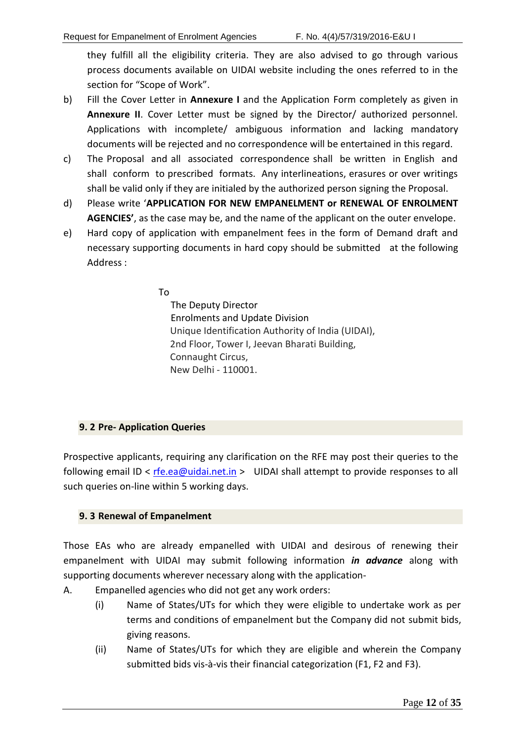they fulfill all the eligibility criteria. They are also advised to go through various process documents available on UIDAI website including the ones referred to in the section for "Scope of Work".

- b) Fill the Cover Letter in **Annexure I** and the Application Form completely as given in **Annexure II**. Cover Letter must be signed by the Director/ authorized personnel. Applications with incomplete/ ambiguous information and lacking mandatory documents will be rejected and no correspondence will be entertained in this regard.
- c) The Proposal and all associated correspondence shall be written in English and shall conform to prescribed formats. Any interlineations, erasures or over writings shall be valid only if they are initialed by the authorized person signing the Proposal.
- d) Please write '**APPLICATION FOR NEW EMPANELMENT or RENEWAL OF ENROLMENT AGENCIES'**, as the case may be, and the name of the applicant on the outer envelope.
- e) Hard copy of application with empanelment fees in the form of Demand draft and necessary supporting documents in hard copy should be submitted at the following Address :

To

 The Deputy Director Enrolments and Update Division Unique Identification Authority of India (UIDAI), 2nd Floor, Tower I, Jeevan Bharati Building, Connaught Circus, New Delhi - 110001.

# <span id="page-11-0"></span>**9. 2 Pre- Application Queries**

Prospective applicants, requiring any clarification on the RFE may post their queries to the following email ID <  $rfe.ea@uidai.net.in$  > UIDAI shall attempt to provide responses to all such queries on-line within 5 working days.

# <span id="page-11-1"></span>**9. 3 Renewal of Empanelment**

Those EAs who are already empanelled with UIDAI and desirous of renewing their empanelment with UIDAI may submit following information *in advance* along with supporting documents wherever necessary along with the application-

- A. Empanelled agencies who did not get any work orders:
	- (i) Name of States/UTs for which they were eligible to undertake work as per terms and conditions of empanelment but the Company did not submit bids, giving reasons.
	- (ii) Name of States/UTs for which they are eligible and wherein the Company submitted bids vis-à-vis their financial categorization (F1, F2 and F3).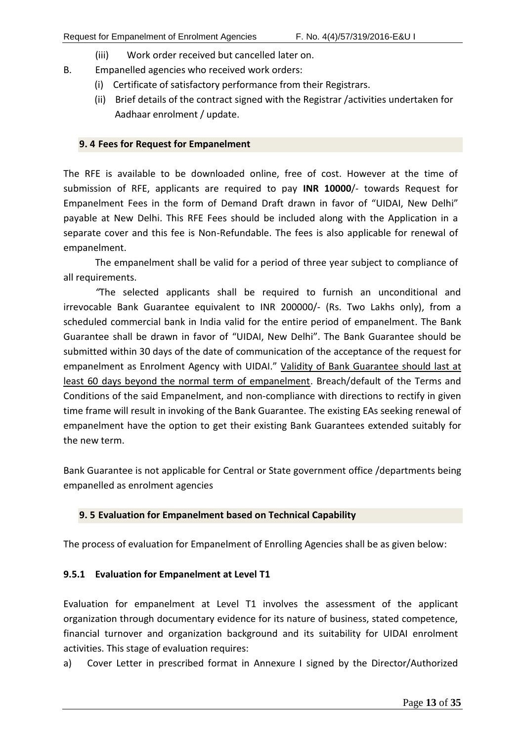- (iii) Work order received but cancelled later on.
- B. Empanelled agencies who received work orders:
	- (i) Certificate of satisfactory performance from their Registrars.
	- (ii) Brief details of the contract signed with the Registrar /activities undertaken for Aadhaar enrolment / update.

#### <span id="page-12-0"></span>**9. 4 Fees for Request for Empanelment**

The RFE is available to be downloaded online, free of cost. However at the time of submission of RFE, applicants are required to pay **INR 10000**/- towards Request for Empanelment Fees in the form of Demand Draft drawn in favor of "UIDAI, New Delhi" payable at New Delhi. This RFE Fees should be included along with the Application in a separate cover and this fee is Non-Refundable. The fees is also applicable for renewal of empanelment.

The empanelment shall be valid for a period of three year subject to compliance of all requirements.

*"*The selected applicants shall be required to furnish an unconditional and irrevocable Bank Guarantee equivalent to INR 200000/- (Rs. Two Lakhs only), from a scheduled commercial bank in India valid for the entire period of empanelment. The Bank Guarantee shall be drawn in favor of "UIDAI, New Delhi". The Bank Guarantee should be submitted within 30 days of the date of communication of the acceptance of the request for empanelment as Enrolment Agency with UIDAI." Validity of Bank Guarantee should last at least 60 days beyond the normal term of empanelment. Breach/default of the Terms and Conditions of the said Empanelment, and non-compliance with directions to rectify in given time frame will result in invoking of the Bank Guarantee. The existing EAs seeking renewal of empanelment have the option to get their existing Bank Guarantees extended suitably for the new term.

Bank Guarantee is not applicable for Central or State government office /departments being empanelled as enrolment agencies

# <span id="page-12-1"></span>**9. 5 Evaluation for Empanelment based on Technical Capability**

The process of evaluation for Empanelment of Enrolling Agencies shall be as given below:

# <span id="page-12-2"></span>**9.5.1 Evaluation for Empanelment at Level T1**

Evaluation for empanelment at Level T1 involves the assessment of the applicant organization through documentary evidence for its nature of business, stated competence, financial turnover and organization background and its suitability for UIDAI enrolment activities. This stage of evaluation requires:

a) Cover Letter in prescribed format in Annexure I signed by the Director/Authorized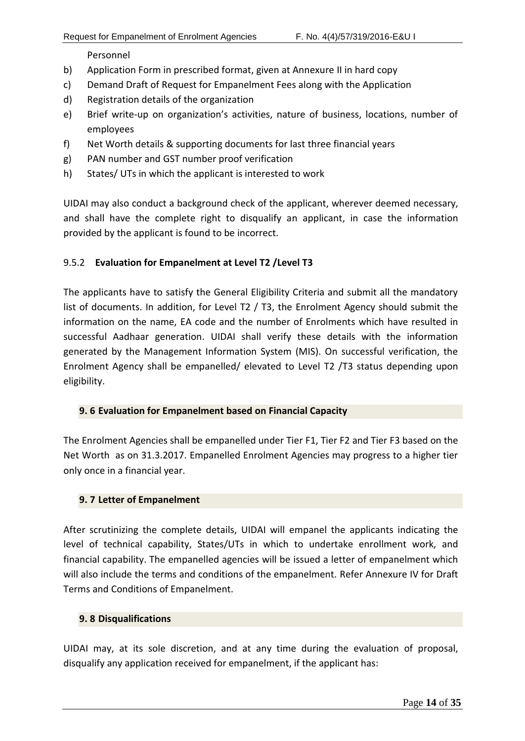Personnel

- b) Application Form in prescribed format, given at Annexure II in hard copy
- c) Demand Draft of Request for Empanelment Fees along with the Application
- d) Registration details of the organization
- e) Brief write-up on organization's activities, nature of business, locations, number of employees
- f) Net Worth details & supporting documents for last three financial years
- g) PAN number and GST number proof verification
- h) States/ UTs in which the applicant is interested to work

UIDAI may also conduct a background check of the applicant, wherever deemed necessary, and shall have the complete right to disqualify an applicant, in case the information provided by the applicant is found to be incorrect.

#### <span id="page-13-0"></span>9.5.2 **Evaluation for Empanelment at Level T2 /Level T3**

The applicants have to satisfy the General Eligibility Criteria and submit all the mandatory list of documents. In addition, for Level T2 / T3, the Enrolment Agency should submit the information on the name, EA code and the number of Enrolments which have resulted in successful Aadhaar generation. UIDAI shall verify these details with the information generated by the Management Information System (MIS). On successful verification, the Enrolment Agency shall be empanelled/ elevated to Level T2 /T3 status depending upon eligibility.

#### <span id="page-13-1"></span>**9. 6 Evaluation for Empanelment based on Financial Capacity**

The Enrolment Agencies shall be empanelled under Tier F1, Tier F2 and Tier F3 based on the Net Worth as on 31.3.2017. Empanelled Enrolment Agencies may progress to a higher tier only once in a financial year.

#### <span id="page-13-2"></span>**9. 7 Letter of Empanelment**

After scrutinizing the complete details, UIDAI will empanel the applicants indicating the level of technical capability, States/UTs in which to undertake enrollment work, and financial capability. The empanelled agencies will be issued a letter of empanelment which will also include the terms and conditions of the empanelment. Refer Annexure IV for Draft Terms and Conditions of Empanelment.

#### <span id="page-13-3"></span>**9. 8 Disqualifications**

UIDAI may, at its sole discretion, and at any time during the evaluation of proposal, disqualify any application received for empanelment, if the applicant has: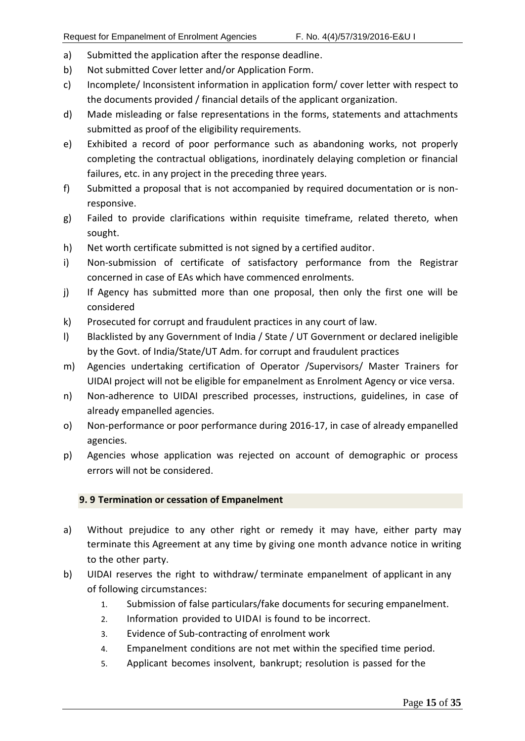- a) Submitted the application after the response deadline.
- b) Not submitted Cover letter and/or Application Form.
- c) Incomplete/ Inconsistent information in application form/ cover letter with respect to the documents provided / financial details of the applicant organization.
- d) Made misleading or false representations in the forms, statements and attachments submitted as proof of the eligibility requirements.
- e) Exhibited a record of poor performance such as abandoning works, not properly completing the contractual obligations, inordinately delaying completion or financial failures, etc. in any project in the preceding three years.
- f) Submitted a proposal that is not accompanied by required documentation or is nonresponsive.
- g) Failed to provide clarifications within requisite timeframe, related thereto, when sought.
- h) Net worth certificate submitted is not signed by a certified auditor.
- i) Non-submission of certificate of satisfactory performance from the Registrar concerned in case of EAs which have commenced enrolments.
- j) If Agency has submitted more than one proposal, then only the first one will be considered
- k) Prosecuted for corrupt and fraudulent practices in any court of law.
- l) Blacklisted by any Government of India / State / UT Government or declared ineligible by the Govt. of India/State/UT Adm. for corrupt and fraudulent practices
- m) Agencies undertaking certification of Operator /Supervisors/ Master Trainers for UIDAI project will not be eligible for empanelment as Enrolment Agency or vice versa.
- n) Non-adherence to UIDAI prescribed processes, instructions, guidelines, in case of already empanelled agencies.
- o) Non-performance or poor performance during 2016-17, in case of already empanelled agencies.
- p) Agencies whose application was rejected on account of demographic or process errors will not be considered.

# <span id="page-14-0"></span>**9. 9 Termination or cessation of Empanelment**

- a) Without prejudice to any other right or remedy it may have, either party may terminate this Agreement at any time by giving one month advance notice in writing to the other party.
- b) UIDAI reserves the right to withdraw/ terminate empanelment of applicant in any of following circumstances:
	- 1. Submission of false particulars/fake documents for securing empanelment.
	- 2. Information provided to UIDAI is found to be incorrect.
	- 3. Evidence of Sub-contracting of enrolment work
	- 4. Empanelment conditions are not met within the specified time period.
	- 5. Applicant becomes insolvent, bankrupt; resolution is passed for the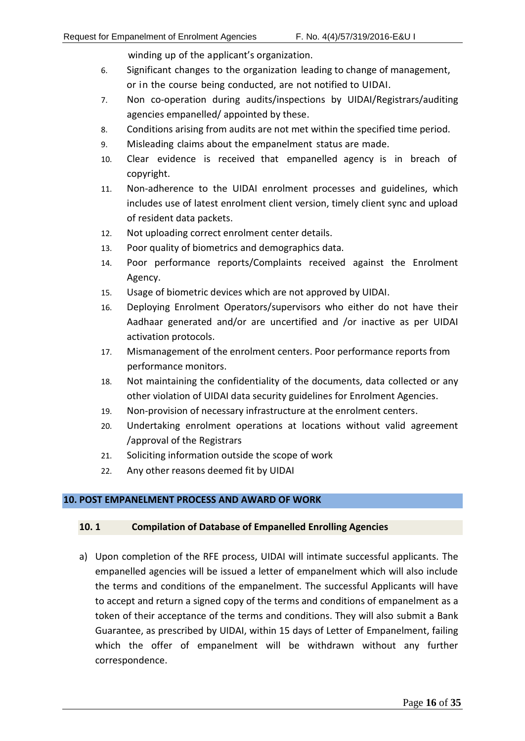winding up of the applicant's organization.

- 6. Significant changes to the organization leading to change of management, or in the course being conducted, are not notified to UIDAI.
- 7. Non co-operation during audits/inspections by UIDAI/Registrars/auditing agencies empanelled/ appointed by these.
- 8. Conditions arising from audits are not met within the specified time period.
- 9. Misleading claims about the empanelment status are made.
- 10. Clear evidence is received that empanelled agency is in breach of copyright.
- 11. Non-adherence to the UIDAI enrolment processes and guidelines, which includes use of latest enrolment client version, timely client sync and upload of resident data packets.
- 12. Not uploading correct enrolment center details.
- 13. Poor quality of biometrics and demographics data.
- 14. Poor performance reports/Complaints received against the Enrolment Agency.
- 15. Usage of biometric devices which are not approved by UIDAI.
- 16. Deploying Enrolment Operators/supervisors who either do not have their Aadhaar generated and/or are uncertified and /or inactive as per UIDAI activation protocols.
- 17. Mismanagement of the enrolment centers. Poor performance reports from performance monitors.
- 18. Not maintaining the confidentiality of the documents, data collected or any other violation of UIDAI data security guidelines for Enrolment Agencies.
- 19. Non-provision of necessary infrastructure at the enrolment centers.
- 20. Undertaking enrolment operations at locations without valid agreement /approval of the Registrars
- 21. Soliciting information outside the scope of work
- 22. Any other reasons deemed fit by UIDAI

# <span id="page-15-0"></span>**10. POST EMPANELMENT PROCESS AND AWARD OF WORK**

# <span id="page-15-1"></span>**10. 1 Compilation of Database of Empanelled Enrolling Agencies**

a) Upon completion of the RFE process, UIDAI will intimate successful applicants. The empanelled agencies will be issued a letter of empanelment which will also include the terms and conditions of the empanelment. The successful Applicants will have to accept and return a signed copy of the terms and conditions of empanelment as a token of their acceptance of the terms and conditions. They will also submit a Bank Guarantee, as prescribed by UIDAI, within 15 days of Letter of Empanelment, failing which the offer of empanelment will be withdrawn without any further correspondence.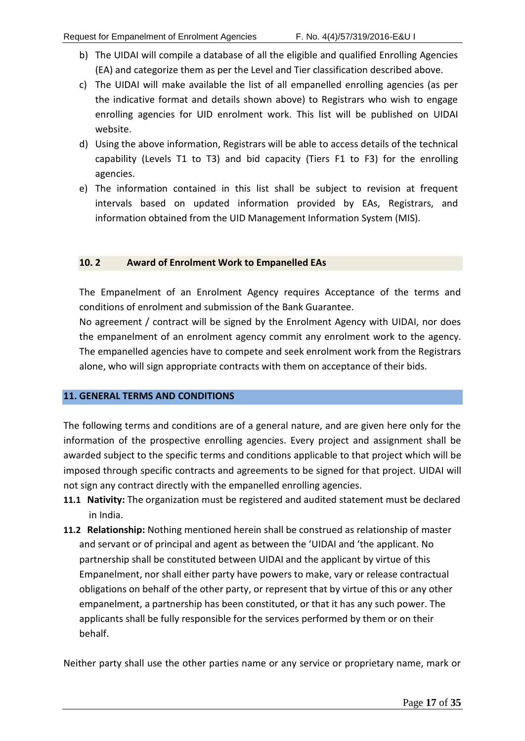- b) The UIDAI will compile a database of all the eligible and qualified Enrolling Agencies (EA) and categorize them as per the Level and Tier classification described above.
- c) The UIDAI will make available the list of all empanelled enrolling agencies (as per the indicative format and details shown above) to Registrars who wish to engage enrolling agencies for UID enrolment work. This list will be published on UIDAI website.
- d) Using the above information, Registrars will be able to access details of the technical capability (Levels T1 to T3) and bid capacity (Tiers F1 to F3) for the enrolling agencies.
- e) The information contained in this list shall be subject to revision at frequent intervals based on updated information provided by EAs, Registrars, and information obtained from the UID Management Information System (MIS).

#### <span id="page-16-0"></span>**10. 2 Award of Enrolment Work to Empanelled EAs**

The Empanelment of an Enrolment Agency requires Acceptance of the terms and conditions of enrolment and submission of the Bank Guarantee.

No agreement / contract will be signed by the Enrolment Agency with UIDAI, nor does the empanelment of an enrolment agency commit any enrolment work to the agency. The empanelled agencies have to compete and seek enrolment work from the Registrars alone, who will sign appropriate contracts with them on acceptance of their bids.

#### <span id="page-16-1"></span>**11. GENERAL TERMS AND CONDITIONS**

The following terms and conditions are of a general nature, and are given here only for the information of the prospective enrolling agencies. Every project and assignment shall be awarded subject to the specific terms and conditions applicable to that project which will be imposed through specific contracts and agreements to be signed for that project. UIDAI will not sign any contract directly with the empanelled enrolling agencies.

- **11.1 Nativity:** The organization must be registered and audited statement must be declared in India.
- **11.2 Relationship:** Nothing mentioned herein shall be construed as relationship of master and servant or of principal and agent as between the 'UIDAI and 'the applicant. No partnership shall be constituted between UIDAI and the applicant by virtue of this Empanelment, nor shall either party have powers to make, vary or release contractual obligations on behalf of the other party, or represent that by virtue of this or any other empanelment, a partnership has been constituted, or that it has any such power. The applicants shall be fully responsible for the services performed by them or on their behalf.

Neither party shall use the other parties name or any service or proprietary name, mark or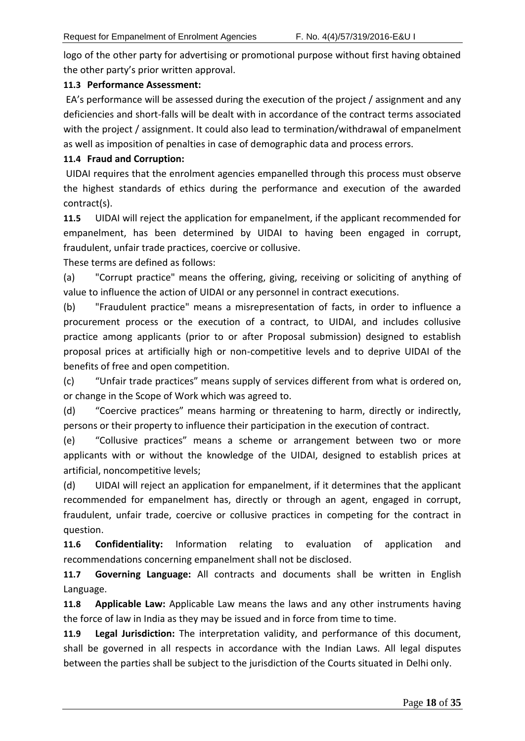logo of the other party for advertising or promotional purpose without first having obtained the other party's prior written approval.

# **11.3 Performance Assessment:**

EA's performance will be assessed during the execution of the project / assignment and any deficiencies and short-falls will be dealt with in accordance of the contract terms associated with the project / assignment. It could also lead to termination/withdrawal of empanelment as well as imposition of penalties in case of demographic data and process errors.

# **11.4 Fraud and Corruption:**

UIDAI requires that the enrolment agencies empanelled through this process must observe the highest standards of ethics during the performance and execution of the awarded contract(s).

**11.5** UIDAI will reject the application for empanelment, if the applicant recommended for empanelment, has been determined by UIDAI to having been engaged in corrupt, fraudulent, unfair trade practices, coercive or collusive.

These terms are defined as follows:

(a) "Corrupt practice" means the offering, giving, receiving or soliciting of anything of value to influence the action of UIDAI or any personnel in contract executions.

(b) "Fraudulent practice" means a misrepresentation of facts, in order to influence a procurement process or the execution of a contract, to UIDAI, and includes collusive practice among applicants (prior to or after Proposal submission) designed to establish proposal prices at artificially high or non-competitive levels and to deprive UIDAI of the benefits of free and open competition.

(c) "Unfair trade practices" means supply of services different from what is ordered on, or change in the Scope of Work which was agreed to.

(d) "Coercive practices" means harming or threatening to harm, directly or indirectly, persons or their property to influence their participation in the execution of contract.

(e) "Collusive practices" means a scheme or arrangement between two or more applicants with or without the knowledge of the UIDAI, designed to establish prices at artificial, noncompetitive levels;

(d) UIDAI will reject an application for empanelment, if it determines that the applicant recommended for empanelment has, directly or through an agent, engaged in corrupt, fraudulent, unfair trade, coercive or collusive practices in competing for the contract in question.

**11.6 Confidentiality:** Information relating to evaluation of application and recommendations concerning empanelment shall not be disclosed.

**11.7 Governing Language:** All contracts and documents shall be written in English Language.

**11.8 Applicable Law:** Applicable Law means the laws and any other instruments having the force of law in India as they may be issued and in force from time to time.

**11.9 Legal Jurisdiction:** The interpretation validity, and performance of this document, shall be governed in all respects in accordance with the Indian Laws. All legal disputes between the parties shall be subject to the jurisdiction of the Courts situated in Delhi only.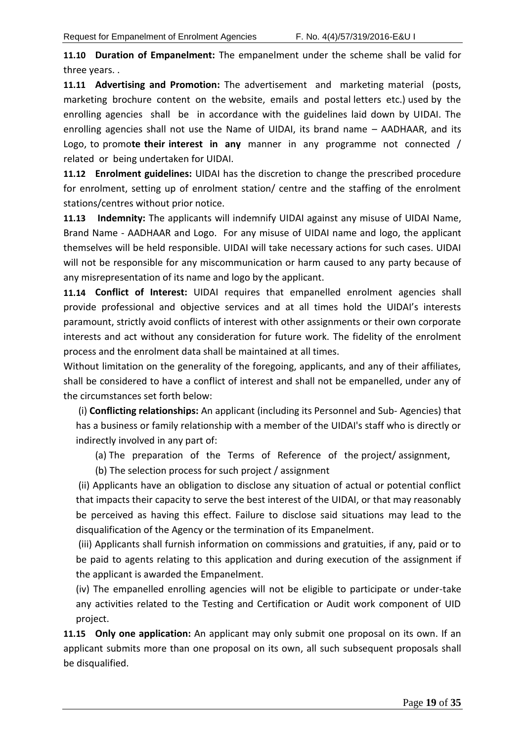**11.10 Duration of Empanelment:** The empanelment under the scheme shall be valid for three years. .

**11.11 Advertising and Promotion:** The advertisement and marketing material (posts, marketing brochure content on the website, emails and postal letters etc.) used by the enrolling agencies shall be in accordance with the guidelines laid down by UIDAI. The enrolling agencies shall not use the Name of UIDAI, its brand name – AADHAAR, and its Logo, to promo**te their interest in any** manner in any programme not connected / related or being undertaken for UIDAI.

**11.12 Enrolment guidelines:** UIDAI has the discretion to change the prescribed procedure for enrolment, setting up of enrolment station/ centre and the staffing of the enrolment stations/centres without prior notice.

**11.13 Indemnity:** The applicants will indemnify UIDAI against any misuse of UIDAI Name, Brand Name - AADHAAR and Logo. For any misuse of UIDAI name and logo, the applicant themselves will be held responsible. UIDAI will take necessary actions for such cases. UIDAI will not be responsible for any miscommunication or harm caused to any party because of any misrepresentation of its name and logo by the applicant.

**11.14 Conflict of Interest:** UIDAI requires that empanelled enrolment agencies shall provide professional and objective services and at all times hold the UIDAI's interests paramount, strictly avoid conflicts of interest with other assignments or their own corporate interests and act without any consideration for future work. The fidelity of the enrolment process and the enrolment data shall be maintained at all times.

Without limitation on the generality of the foregoing, applicants, and any of their affiliates, shall be considered to have a conflict of interest and shall not be empanelled, under any of the circumstances set forth below:

(i) **Conflicting relationships:** An applicant (including its Personnel and Sub- Agencies) that has a business or family relationship with a member of the UIDAI's staff who is directly or indirectly involved in any part of:

(a) The preparation of the Terms of Reference of the project/ assignment,

(b) The selection process for such project / assignment

(ii) Applicants have an obligation to disclose any situation of actual or potential conflict that impacts their capacity to serve the best interest of the UIDAI, or that may reasonably be perceived as having this effect. Failure to disclose said situations may lead to the disqualification of the Agency or the termination of its Empanelment.

(iii) Applicants shall furnish information on commissions and gratuities, if any, paid or to be paid to agents relating to this application and during execution of the assignment if the applicant is awarded the Empanelment.

(iv) The empanelled enrolling agencies will not be eligible to participate or under-take any activities related to the Testing and Certification or Audit work component of UID project.

**11.15 Only one application:** An applicant may only submit one proposal on its own. If an applicant submits more than one proposal on its own, all such subsequent proposals shall be disqualified.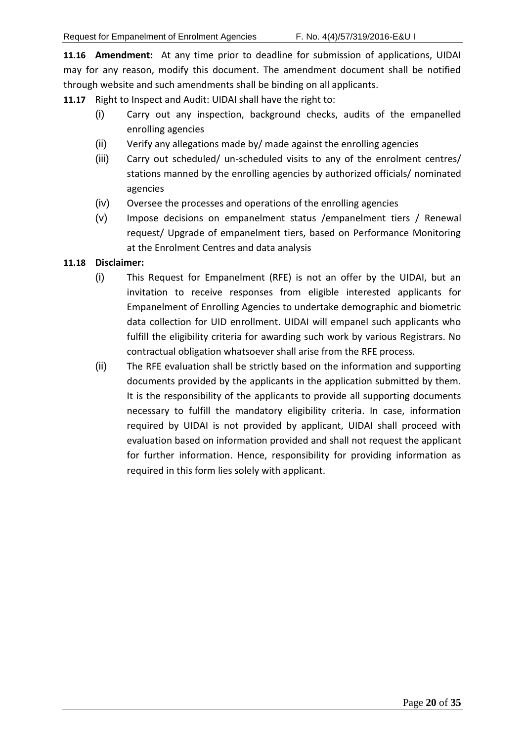**11.16 Amendment:** At any time prior to deadline for submission of applications, UIDAI may for any reason, modify this document. The amendment document shall be notified through website and such amendments shall be binding on all applicants.

**11.17** Right to Inspect and Audit: UIDAI shall have the right to:

- (i) Carry out any inspection, background checks, audits of the empanelled enrolling agencies
- (ii) Verify any allegations made by/ made against the enrolling agencies
- (iii) Carry out scheduled/ un-scheduled visits to any of the enrolment centres/ stations manned by the enrolling agencies by authorized officials/ nominated agencies
- (iv) Oversee the processes and operations of the enrolling agencies
- (v) Impose decisions on empanelment status /empanelment tiers / Renewal request/ Upgrade of empanelment tiers, based on Performance Monitoring at the Enrolment Centres and data analysis

#### **11.18 Disclaimer:**

- (i) This Request for Empanelment (RFE) is not an offer by the UIDAI, but an invitation to receive responses from eligible interested applicants for Empanelment of Enrolling Agencies to undertake demographic and biometric data collection for UID enrollment. UIDAI will empanel such applicants who fulfill the eligibility criteria for awarding such work by various Registrars. No contractual obligation whatsoever shall arise from the RFE process.
- (ii) The RFE evaluation shall be strictly based on the information and supporting documents provided by the applicants in the application submitted by them. It is the responsibility of the applicants to provide all supporting documents necessary to fulfill the mandatory eligibility criteria. In case, information required by UIDAI is not provided by applicant, UIDAI shall proceed with evaluation based on information provided and shall not request the applicant for further information. Hence, responsibility for providing information as required in this form lies solely with applicant.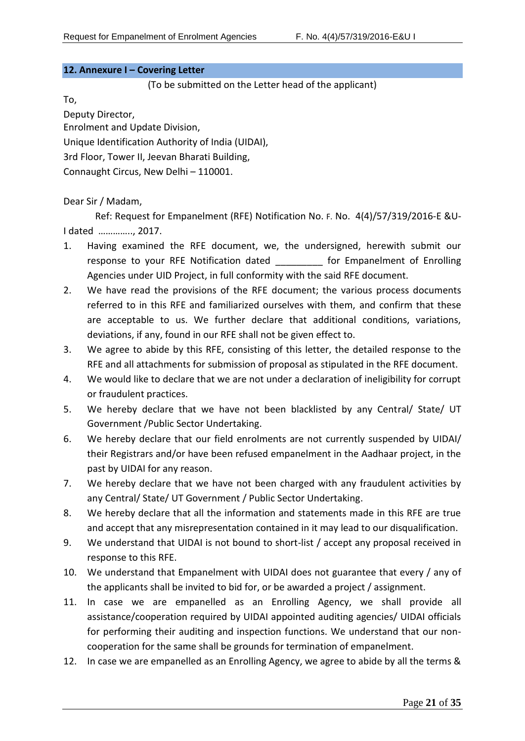#### <span id="page-20-0"></span>**12. Annexure I – Covering Letter**

(To be submitted on the Letter head of the applicant)

To,

Deputy Director, Enrolment and Update Division, Unique Identification Authority of India (UIDAI), 3rd Floor, Tower II, Jeevan Bharati Building, Connaught Circus, New Delhi – 110001.

Dear Sir / Madam,

Ref: Request for Empanelment (RFE) Notification No. F. No. 4(4)/57/319/2016-E &U-I dated ………….., 2017.

- 1. Having examined the RFE document, we, the undersigned, herewith submit our response to your RFE Notification dated **the formanelment of Enrolling** Agencies under UID Project, in full conformity with the said RFE document.
- 2. We have read the provisions of the RFE document; the various process documents referred to in this RFE and familiarized ourselves with them, and confirm that these are acceptable to us. We further declare that additional conditions, variations, deviations, if any, found in our RFE shall not be given effect to.
- 3. We agree to abide by this RFE, consisting of this letter, the detailed response to the RFE and all attachments for submission of proposal as stipulated in the RFE document.
- 4. We would like to declare that we are not under a declaration of ineligibility for corrupt or fraudulent practices.
- 5. We hereby declare that we have not been blacklisted by any Central/ State/ UT Government /Public Sector Undertaking.
- 6. We hereby declare that our field enrolments are not currently suspended by UIDAI/ their Registrars and/or have been refused empanelment in the Aadhaar project, in the past by UIDAI for any reason.
- 7. We hereby declare that we have not been charged with any fraudulent activities by any Central/ State/ UT Government / Public Sector Undertaking.
- 8. We hereby declare that all the information and statements made in this RFE are true and accept that any misrepresentation contained in it may lead to our disqualification.
- 9. We understand that UIDAI is not bound to short-list / accept any proposal received in response to this RFE.
- 10. We understand that Empanelment with UIDAI does not guarantee that every / any of the applicants shall be invited to bid for, or be awarded a project / assignment.
- 11. In case we are empanelled as an Enrolling Agency, we shall provide all assistance/cooperation required by UIDAI appointed auditing agencies/ UIDAI officials for performing their auditing and inspection functions. We understand that our noncooperation for the same shall be grounds for termination of empanelment.
- 12. In case we are empanelled as an Enrolling Agency, we agree to abide by all the terms &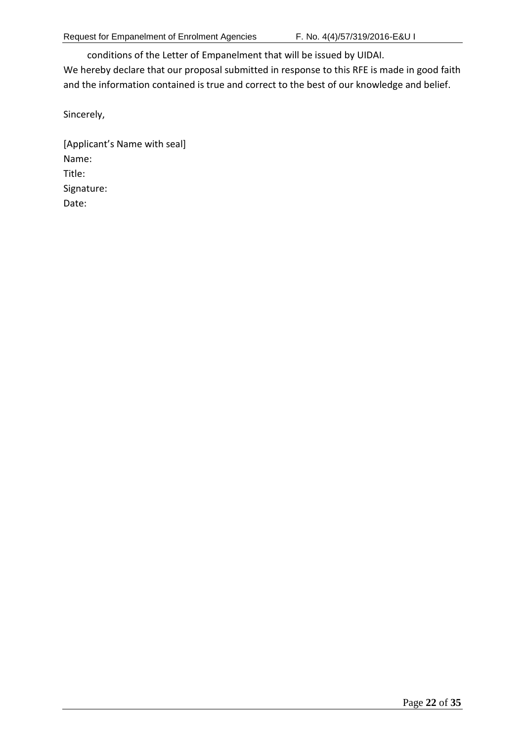conditions of the Letter of Empanelment that will be issued by UIDAI.

We hereby declare that our proposal submitted in response to this RFE is made in good faith and the information contained is true and correct to the best of our knowledge and belief.

Sincerely,

[Applicant's Name with seal] Name: Title: Signature: Date: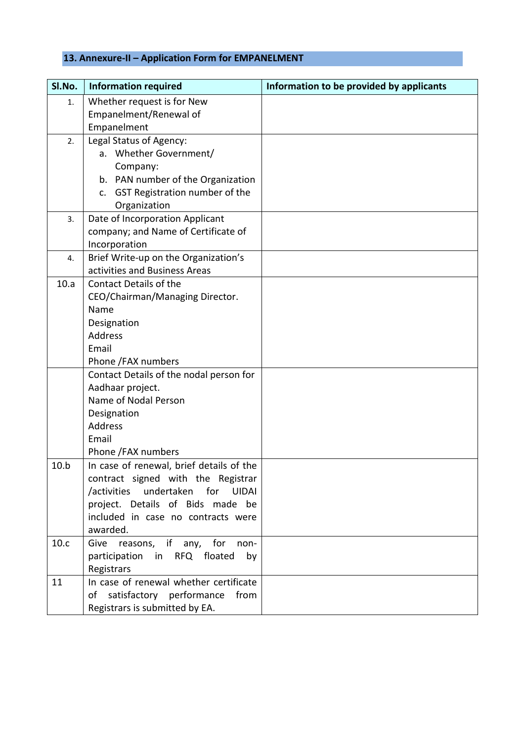# <span id="page-22-0"></span>**13. Annexure-II – Application Form for EMPANELMENT**

| SI.No. | <b>Information required</b>                                            | Information to be provided by applicants |
|--------|------------------------------------------------------------------------|------------------------------------------|
| 1.     | Whether request is for New                                             |                                          |
|        | Empanelment/Renewal of                                                 |                                          |
|        | Empanelment                                                            |                                          |
| 2.     | Legal Status of Agency:                                                |                                          |
|        | a. Whether Government/                                                 |                                          |
|        | Company:                                                               |                                          |
|        | b. PAN number of the Organization                                      |                                          |
|        | c. GST Registration number of the                                      |                                          |
|        | Organization                                                           |                                          |
| 3.     | Date of Incorporation Applicant                                        |                                          |
|        | company; and Name of Certificate of                                    |                                          |
|        | Incorporation                                                          |                                          |
| 4.     | Brief Write-up on the Organization's                                   |                                          |
|        | activities and Business Areas                                          |                                          |
| 10.a   | <b>Contact Details of the</b>                                          |                                          |
|        | CEO/Chairman/Managing Director.                                        |                                          |
|        | Name                                                                   |                                          |
|        | Designation                                                            |                                          |
|        | Address                                                                |                                          |
|        | Email                                                                  |                                          |
|        | Phone /FAX numbers                                                     |                                          |
|        | Contact Details of the nodal person for                                |                                          |
|        | Aadhaar project.                                                       |                                          |
|        | Name of Nodal Person                                                   |                                          |
|        | Designation                                                            |                                          |
|        | <b>Address</b>                                                         |                                          |
|        | Email                                                                  |                                          |
| 10.b   | Phone /FAX numbers<br>In case of renewal, brief details of the         |                                          |
|        |                                                                        |                                          |
|        | contract signed with the Registrar<br>/activities undertaken for UIDAI |                                          |
|        | project. Details of Bids made be                                       |                                          |
|        | included in case no contracts were                                     |                                          |
|        | awarded.                                                               |                                          |
| 10.c   | reasons, if any, for<br>Give<br>non-                                   |                                          |
|        | participation in RFQ floated<br>by                                     |                                          |
|        | Registrars                                                             |                                          |
| 11     | In case of renewal whether certificate                                 |                                          |
|        | of satisfactory performance<br>from                                    |                                          |
|        | Registrars is submitted by EA.                                         |                                          |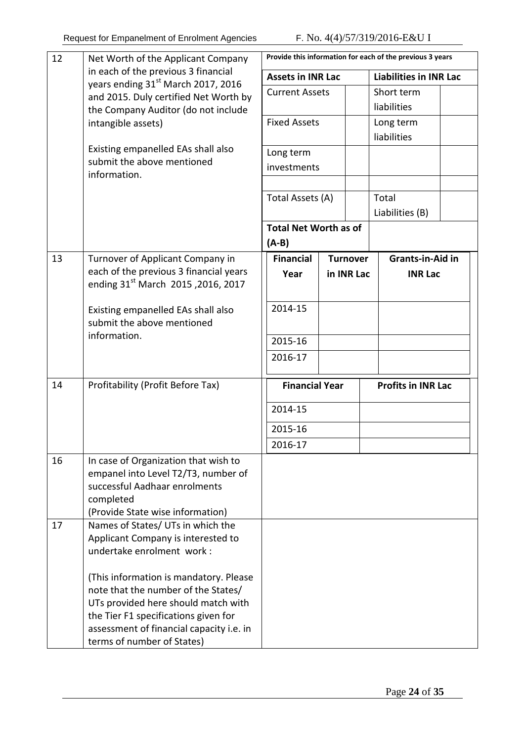| 12 | Net Worth of the Applicant Company                                                      |                                                   |                 | Provide this information for each of the previous 3 years |  |
|----|-----------------------------------------------------------------------------------------|---------------------------------------------------|-----------------|-----------------------------------------------------------|--|
|    | in each of the previous 3 financial                                                     | <b>Assets in INR Lac</b><br><b>Current Assets</b> |                 | <b>Liabilities in INR Lac</b>                             |  |
|    | years ending 31 <sup>st</sup> March 2017, 2016<br>and 2015. Duly certified Net Worth by |                                                   |                 | Short term                                                |  |
|    | the Company Auditor (do not include                                                     |                                                   |                 | liabilities                                               |  |
|    | intangible assets)                                                                      | <b>Fixed Assets</b>                               |                 | Long term                                                 |  |
|    |                                                                                         |                                                   |                 | liabilities                                               |  |
|    | Existing empanelled EAs shall also                                                      | Long term<br>investments                          |                 |                                                           |  |
|    | submit the above mentioned<br>information.                                              |                                                   |                 |                                                           |  |
|    |                                                                                         |                                                   |                 |                                                           |  |
|    |                                                                                         | Total Assets (A)                                  |                 | Total                                                     |  |
|    |                                                                                         |                                                   |                 | Liabilities (B)                                           |  |
|    |                                                                                         | <b>Total Net Worth as of</b>                      |                 |                                                           |  |
|    |                                                                                         | $(A-B)$                                           |                 |                                                           |  |
| 13 | Turnover of Applicant Company in                                                        | <b>Financial</b>                                  | <b>Turnover</b> | <b>Grants-in-Aid in</b>                                   |  |
|    | each of the previous 3 financial years                                                  | Year                                              | in INR Lac      | <b>INR Lac</b>                                            |  |
|    | ending 31 <sup>st</sup> March 2015, 2016, 2017                                          |                                                   |                 |                                                           |  |
|    | Existing empanelled EAs shall also                                                      | 2014-15                                           |                 |                                                           |  |
|    | submit the above mentioned                                                              |                                                   |                 |                                                           |  |
|    | information.                                                                            | 2015-16                                           |                 |                                                           |  |
|    |                                                                                         |                                                   |                 |                                                           |  |
|    |                                                                                         | 2016-17                                           |                 |                                                           |  |
| 14 | Profitability (Profit Before Tax)                                                       | <b>Financial Year</b><br>2014-15                  |                 | <b>Profits in INR Lac</b>                                 |  |
|    |                                                                                         |                                                   |                 |                                                           |  |
|    |                                                                                         | 2015-16                                           |                 |                                                           |  |
|    |                                                                                         | 2016-17                                           |                 |                                                           |  |
| 16 | In case of Organization that wish to                                                    |                                                   |                 |                                                           |  |
|    | empanel into Level T2/T3, number of                                                     |                                                   |                 |                                                           |  |
|    | successful Aadhaar enrolments                                                           |                                                   |                 |                                                           |  |
|    | completed                                                                               |                                                   |                 |                                                           |  |
|    | (Provide State wise information)                                                        |                                                   |                 |                                                           |  |
| 17 | Names of States/ UTs in which the                                                       |                                                   |                 |                                                           |  |
|    | Applicant Company is interested to<br>undertake enrolment work:                         |                                                   |                 |                                                           |  |
|    |                                                                                         |                                                   |                 |                                                           |  |
|    | (This information is mandatory. Please                                                  |                                                   |                 |                                                           |  |
|    | note that the number of the States/                                                     |                                                   |                 |                                                           |  |
|    | UTs provided here should match with                                                     |                                                   |                 |                                                           |  |
|    | the Tier F1 specifications given for                                                    |                                                   |                 |                                                           |  |
|    | assessment of financial capacity i.e. in                                                |                                                   |                 |                                                           |  |
|    | terms of number of States)                                                              |                                                   |                 |                                                           |  |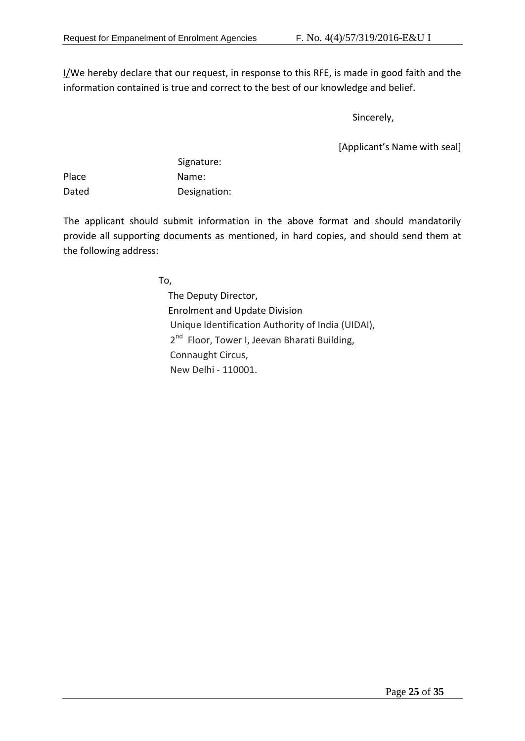I/We hereby declare that our request, in response to this RFE, is made in good faith and the information contained is true and correct to the best of our knowledge and belief.

Sincerely,

[Applicant's Name with seal]

|       | Signature:   |
|-------|--------------|
| Place | Name:        |
| Dated | Designation: |

The applicant should submit information in the above format and should mandatorily provide all supporting documents as mentioned, in hard copies, and should send them at the following address:

To,

 The Deputy Director, Enrolment and Update Division Unique Identification Authority of India (UIDAI), 2<sup>nd</sup> Floor, Tower I, Jeevan Bharati Building, Connaught Circus, New Delhi - 110001.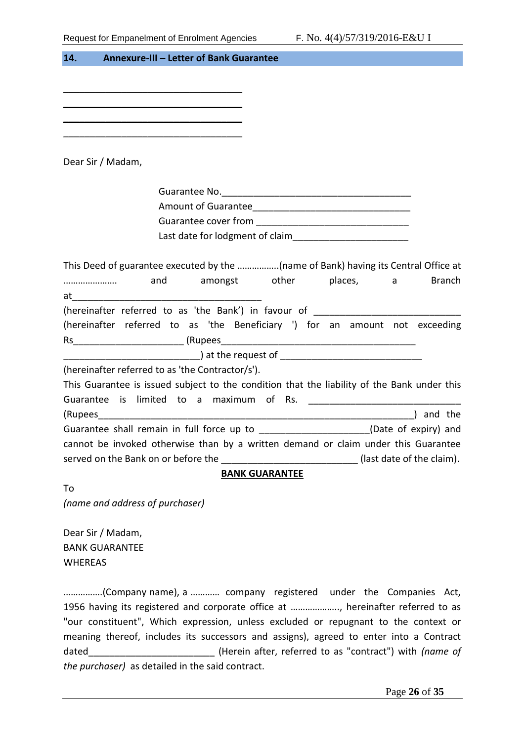<span id="page-25-0"></span>

| 14.<br>Annexure-III - Letter of Bank Guarantee                                                                                                                   |
|------------------------------------------------------------------------------------------------------------------------------------------------------------------|
|                                                                                                                                                                  |
|                                                                                                                                                                  |
|                                                                                                                                                                  |
|                                                                                                                                                                  |
|                                                                                                                                                                  |
| Dear Sir / Madam,                                                                                                                                                |
|                                                                                                                                                                  |
|                                                                                                                                                                  |
|                                                                                                                                                                  |
| Last date for lodgment of claim                                                                                                                                  |
|                                                                                                                                                                  |
| This Deed of guarantee executed by the (name of Bank) having its Central Office at                                                                               |
| and amongst other places, a<br><b>Branch</b>                                                                                                                     |
|                                                                                                                                                                  |
| (hereinafter referred to as 'the Bank') in favour of ____________________________<br>(hereinafter referred to as 'the Beneficiary ') for an amount not exceeding |
|                                                                                                                                                                  |
|                                                                                                                                                                  |
| (hereinafter referred to as 'the Contractor/s').                                                                                                                 |
| This Guarantee is issued subject to the condition that the liability of the Bank under this                                                                      |
|                                                                                                                                                                  |
| ) and the                                                                                                                                                        |
| Guarantee shall remain in full force up to ____________________(Date of expiry) and                                                                              |
| cannot be invoked otherwise than by a written demand or claim under this Guarantee                                                                               |
| served on the Bank on or before the<br>(last date of the claim).                                                                                                 |
| <b>BANK GUARANTEE</b>                                                                                                                                            |
| To                                                                                                                                                               |
| (name and address of purchaser)                                                                                                                                  |
| Dear Sir / Madam,                                                                                                                                                |
| <b>BANK GUARANTEE</b>                                                                                                                                            |
| <b>WHEREAS</b>                                                                                                                                                   |
| (Company name), a  company registered under the Companies Act,                                                                                                   |
| 1956 having its registered and corporate office at , hereinafter referred to as                                                                                  |
| "our constituent", Which expression, unless excluded or repugnant to the context or                                                                              |
| meaning thereof, includes its successors and assigns), agreed to enter into a Contract                                                                           |
| ____ (Herein after, referred to as "contract") with <i>(name of</i><br>dated                                                                                     |

*the purchaser)* as detailed in the said contract.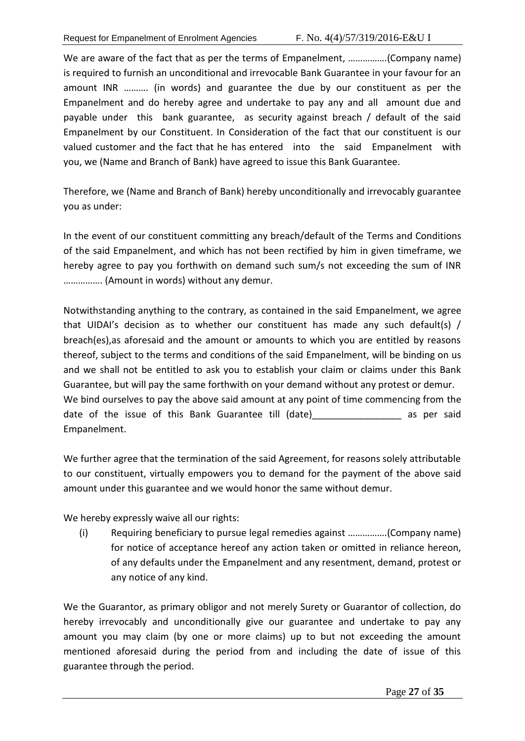We are aware of the fact that as per the terms of Empanelment, ................(Company name) is required to furnish an unconditional and irrevocable Bank Guarantee in your favour for an amount INR ………. (in words) and guarantee the due by our constituent as per the Empanelment and do hereby agree and undertake to pay any and all amount due and payable under this bank guarantee, as security against breach / default of the said Empanelment by our Constituent. In Consideration of the fact that our constituent is our valued customer and the fact that he has entered into the said Empanelment with you, we (Name and Branch of Bank) have agreed to issue this Bank Guarantee.

Therefore, we (Name and Branch of Bank) hereby unconditionally and irrevocably guarantee you as under:

In the event of our constituent committing any breach/default of the Terms and Conditions of the said Empanelment, and which has not been rectified by him in given timeframe, we hereby agree to pay you forthwith on demand such sum/s not exceeding the sum of INR ……………. (Amount in words) without any demur.

Notwithstanding anything to the contrary, as contained in the said Empanelment, we agree that UIDAI's decision as to whether our constituent has made any such default(s) / breach(es),as aforesaid and the amount or amounts to which you are entitled by reasons thereof, subject to the terms and conditions of the said Empanelment, will be binding on us and we shall not be entitled to ask you to establish your claim or claims under this Bank Guarantee, but will pay the same forthwith on your demand without any protest or demur. We bind ourselves to pay the above said amount at any point of time commencing from the date of the issue of this Bank Guarantee till (date) as per said Empanelment.

We further agree that the termination of the said Agreement, for reasons solely attributable to our constituent, virtually empowers you to demand for the payment of the above said amount under this guarantee and we would honor the same without demur.

We hereby expressly waive all our rights:

(i) Requiring beneficiary to pursue legal remedies against …………….(Company name) for notice of acceptance hereof any action taken or omitted in reliance hereon, of any defaults under the Empanelment and any resentment, demand, protest or any notice of any kind.

We the Guarantor, as primary obligor and not merely Surety or Guarantor of collection, do hereby irrevocably and unconditionally give our guarantee and undertake to pay any amount you may claim (by one or more claims) up to but not exceeding the amount mentioned aforesaid during the period from and including the date of issue of this guarantee through the period.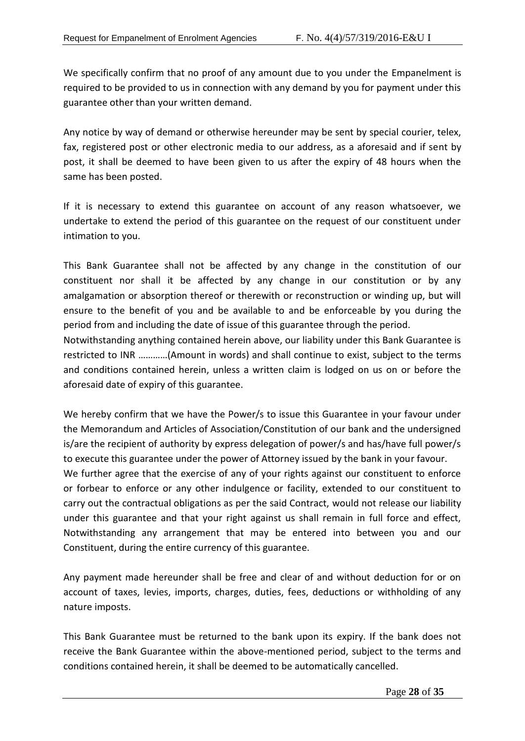We specifically confirm that no proof of any amount due to you under the Empanelment is required to be provided to us in connection with any demand by you for payment under this guarantee other than your written demand.

Any notice by way of demand or otherwise hereunder may be sent by special courier, telex, fax, registered post or other electronic media to our address, as a aforesaid and if sent by post, it shall be deemed to have been given to us after the expiry of 48 hours when the same has been posted.

If it is necessary to extend this guarantee on account of any reason whatsoever, we undertake to extend the period of this guarantee on the request of our constituent under intimation to you.

This Bank Guarantee shall not be affected by any change in the constitution of our constituent nor shall it be affected by any change in our constitution or by any amalgamation or absorption thereof or therewith or reconstruction or winding up, but will ensure to the benefit of you and be available to and be enforceable by you during the period from and including the date of issue of this guarantee through the period.

Notwithstanding anything contained herein above, our liability under this Bank Guarantee is restricted to INR …………(Amount in words) and shall continue to exist, subject to the terms and conditions contained herein, unless a written claim is lodged on us on or before the aforesaid date of expiry of this guarantee.

We hereby confirm that we have the Power/s to issue this Guarantee in your favour under the Memorandum and Articles of Association/Constitution of our bank and the undersigned is/are the recipient of authority by express delegation of power/s and has/have full power/s to execute this guarantee under the power of Attorney issued by the bank in your favour.

We further agree that the exercise of any of your rights against our constituent to enforce or forbear to enforce or any other indulgence or facility, extended to our constituent to carry out the contractual obligations as per the said Contract, would not release our liability under this guarantee and that your right against us shall remain in full force and effect, Notwithstanding any arrangement that may be entered into between you and our Constituent, during the entire currency of this guarantee.

Any payment made hereunder shall be free and clear of and without deduction for or on account of taxes, levies, imports, charges, duties, fees, deductions or withholding of any nature imposts.

This Bank Guarantee must be returned to the bank upon its expiry. If the bank does not receive the Bank Guarantee within the above-mentioned period, subject to the terms and conditions contained herein, it shall be deemed to be automatically cancelled.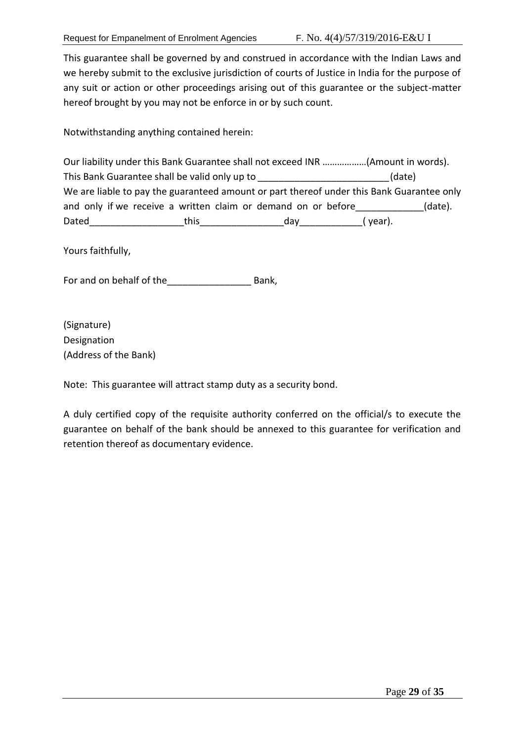This guarantee shall be governed by and construed in accordance with the Indian Laws and we hereby submit to the exclusive jurisdiction of courts of Justice in India for the purpose of any suit or action or other proceedings arising out of this guarantee or the subject-matter hereof brought by you may not be enforce in or by such count.

Notwithstanding anything contained herein:

| Our liability under this Bank Guarantee shall not exceed INR (Amount in words).           |       |     |         |         |
|-------------------------------------------------------------------------------------------|-------|-----|---------|---------|
| This Bank Guarantee shall be valid only up to<br>(date)                                   |       |     |         |         |
| We are liable to pay the guaranteed amount or part thereof under this Bank Guarantee only |       |     |         |         |
| and only if we receive a written claim or demand on or before                             |       |     |         | (date). |
| Dated                                                                                     | this. | dav | (year). |         |

Yours faithfully,

For and on behalf of the \_\_\_\_\_\_\_\_\_\_\_\_\_\_\_\_\_\_\_\_\_\_\_\_\_\_ Bank,

(Signature) Designation (Address of the Bank)

Note: This guarantee will attract stamp duty as a security bond.

A duly certified copy of the requisite authority conferred on the official/s to execute the guarantee on behalf of the bank should be annexed to this guarantee for verification and retention thereof as documentary evidence.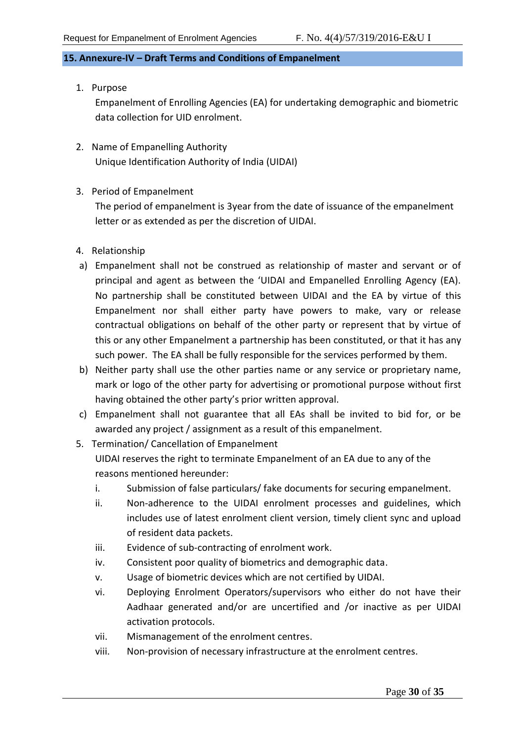# <span id="page-29-0"></span>**15. Annexure-IV – Draft Terms and Conditions of Empanelment**

1. Purpose

Empanelment of Enrolling Agencies (EA) for undertaking demographic and biometric data collection for UID enrolment.

- 2. Name of Empanelling Authority Unique Identification Authority of India (UIDAI)
- 3. Period of Empanelment

The period of empanelment is 3year from the date of issuance of the empanelment letter or as extended as per the discretion of UIDAI.

- 4. Relationship
- a) Empanelment shall not be construed as relationship of master and servant or of principal and agent as between the 'UIDAI and Empanelled Enrolling Agency (EA). No partnership shall be constituted between UIDAI and the EA by virtue of this Empanelment nor shall either party have powers to make, vary or release contractual obligations on behalf of the other party or represent that by virtue of this or any other Empanelment a partnership has been constituted, or that it has any such power. The EA shall be fully responsible for the services performed by them.
- b) Neither party shall use the other parties name or any service or proprietary name, mark or logo of the other party for advertising or promotional purpose without first having obtained the other party's prior written approval.
- c) Empanelment shall not guarantee that all EAs shall be invited to bid for, or be awarded any project / assignment as a result of this empanelment.
- 5. Termination/ Cancellation of Empanelment UIDAI reserves the right to terminate Empanelment of an EA due to any of the reasons mentioned hereunder:
	- i. Submission of false particulars/ fake documents for securing empanelment.
	- ii. Non-adherence to the UIDAI enrolment processes and guidelines, which includes use of latest enrolment client version, timely client sync and upload of resident data packets.
	- iii. Evidence of sub-contracting of enrolment work.
	- iv. Consistent poor quality of biometrics and demographic data.
	- v. Usage of biometric devices which are not certified by UIDAI.
	- vi. Deploying Enrolment Operators/supervisors who either do not have their Aadhaar generated and/or are uncertified and /or inactive as per UIDAI activation protocols.
	- vii. Mismanagement of the enrolment centres.
	- viii. Non-provision of necessary infrastructure at the enrolment centres.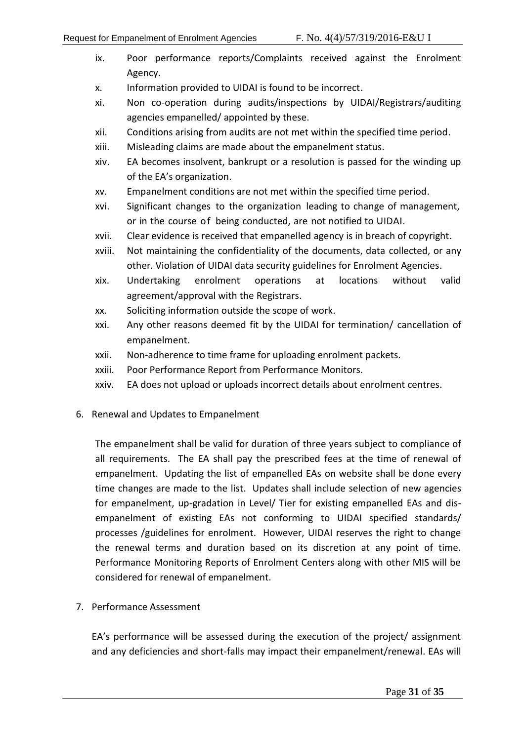- ix. Poor performance reports/Complaints received against the Enrolment Agency.
- x. Information provided to UIDAI is found to be incorrect.
- xi. Non co-operation during audits/inspections by UIDAI/Registrars/auditing agencies empanelled/ appointed by these.
- xii. Conditions arising from audits are not met within the specified time period.
- xiii. Misleading claims are made about the empanelment status.
- xiv. EA becomes insolvent, bankrupt or a resolution is passed for the winding up of the EA's organization.
- xv. Empanelment conditions are not met within the specified time period.
- xvi. Significant changes to the organization leading to change of management, or in the course of being conducted, are not notified to UIDAI.
- xvii. Clear evidence is received that empanelled agency is in breach of copyright.
- xviii. Not maintaining the confidentiality of the documents, data collected, or any other. Violation of UIDAI data security guidelines for Enrolment Agencies.
- xix. Undertaking enrolment operations at locations without valid agreement/approval with the Registrars.
- xx. Soliciting information outside the scope of work.
- xxi. Any other reasons deemed fit by the UIDAI for termination/ cancellation of empanelment.
- xxii. Non-adherence to time frame for uploading enrolment packets.
- xxiii. Poor Performance Report from Performance Monitors.
- xxiv. EA does not upload or uploads incorrect details about enrolment centres.
- 6. Renewal and Updates to Empanelment

The empanelment shall be valid for duration of three years subject to compliance of all requirements. The EA shall pay the prescribed fees at the time of renewal of empanelment. Updating the list of empanelled EAs on website shall be done every time changes are made to the list. Updates shall include selection of new agencies for empanelment, up-gradation in Level/ Tier for existing empanelled EAs and disempanelment of existing EAs not conforming to UIDAI specified standards/ processes /guidelines for enrolment. However, UIDAI reserves the right to change the renewal terms and duration based on its discretion at any point of time. Performance Monitoring Reports of Enrolment Centers along with other MIS will be considered for renewal of empanelment.

7. Performance Assessment

EA's performance will be assessed during the execution of the project/ assignment and any deficiencies and short-falls may impact their empanelment/renewal. EAs will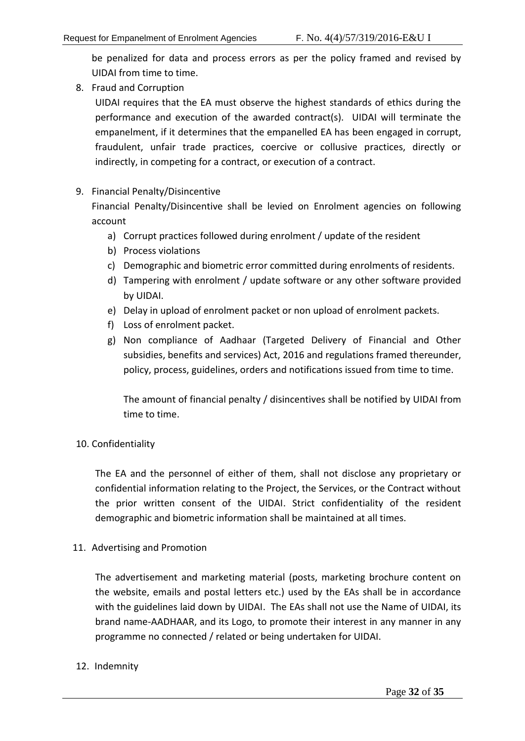be penalized for data and process errors as per the policy framed and revised by UIDAI from time to time.

8. Fraud and Corruption

UIDAI requires that the EA must observe the highest standards of ethics during the performance and execution of the awarded contract(s). UIDAI will terminate the empanelment, if it determines that the empanelled EA has been engaged in corrupt, fraudulent, unfair trade practices, coercive or collusive practices, directly or indirectly, in competing for a contract, or execution of a contract.

# 9. Financial Penalty/Disincentive

Financial Penalty/Disincentive shall be levied on Enrolment agencies on following account

- a) Corrupt practices followed during enrolment / update of the resident
- b) Process violations
- c) Demographic and biometric error committed during enrolments of residents.
- d) Tampering with enrolment / update software or any other software provided by UIDAI.
- e) Delay in upload of enrolment packet or non upload of enrolment packets.
- f) Loss of enrolment packet.
- g) Non compliance of Aadhaar (Targeted Delivery of Financial and Other subsidies, benefits and services) Act, 2016 and regulations framed thereunder, policy, process, guidelines, orders and notifications issued from time to time.

The amount of financial penalty / disincentives shall be notified by UIDAI from time to time.

# 10. Confidentiality

The EA and the personnel of either of them, shall not disclose any proprietary or confidential information relating to the Project, the Services, or the Contract without the prior written consent of the UIDAI. Strict confidentiality of the resident demographic and biometric information shall be maintained at all times.

# 11. Advertising and Promotion

The advertisement and marketing material (posts, marketing brochure content on the website, emails and postal letters etc.) used by the EAs shall be in accordance with the guidelines laid down by UIDAI. The EAs shall not use the Name of UIDAI, its brand name-AADHAAR, and its Logo, to promote their interest in any manner in any programme no connected / related or being undertaken for UIDAI.

# 12. Indemnity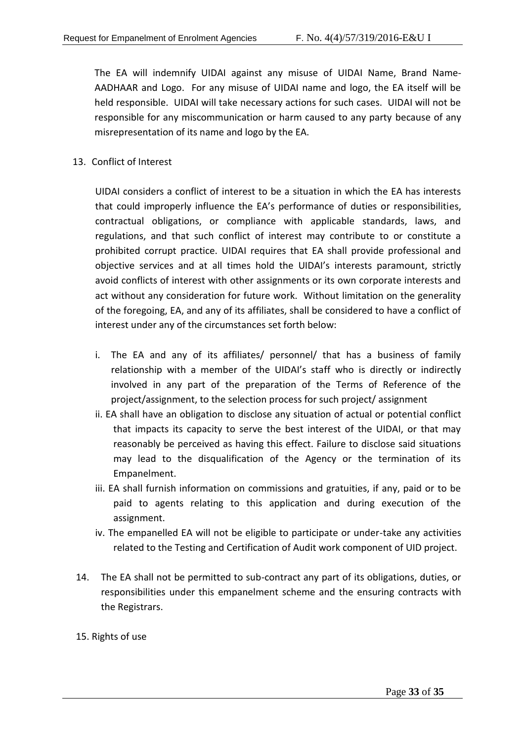The EA will indemnify UIDAI against any misuse of UIDAI Name, Brand Name-AADHAAR and Logo. For any misuse of UIDAI name and logo, the EA itself will be held responsible. UIDAI will take necessary actions for such cases. UIDAI will not be responsible for any miscommunication or harm caused to any party because of any misrepresentation of its name and logo by the EA.

13. Conflict of Interest

UIDAI considers a conflict of interest to be a situation in which the EA has interests that could improperly influence the EA's performance of duties or responsibilities, contractual obligations, or compliance with applicable standards, laws, and regulations, and that such conflict of interest may contribute to or constitute a prohibited corrupt practice. UIDAI requires that EA shall provide professional and objective services and at all times hold the UIDAI's interests paramount, strictly avoid conflicts of interest with other assignments or its own corporate interests and act without any consideration for future work. Without limitation on the generality of the foregoing, EA, and any of its affiliates, shall be considered to have a conflict of interest under any of the circumstances set forth below:

- i. The EA and any of its affiliates/ personnel/ that has a business of family relationship with a member of the UIDAI's staff who is directly or indirectly involved in any part of the preparation of the Terms of Reference of the project/assignment, to the selection process for such project/ assignment
- ii. EA shall have an obligation to disclose any situation of actual or potential conflict that impacts its capacity to serve the best interest of the UIDAI, or that may reasonably be perceived as having this effect. Failure to disclose said situations may lead to the disqualification of the Agency or the termination of its Empanelment.
- iii. EA shall furnish information on commissions and gratuities, if any, paid or to be paid to agents relating to this application and during execution of the assignment.
- iv. The empanelled EA will not be eligible to participate or under-take any activities related to the Testing and Certification of Audit work component of UID project.
- 14. The EA shall not be permitted to sub-contract any part of its obligations, duties, or responsibilities under this empanelment scheme and the ensuring contracts with the Registrars.

# 15. Rights of use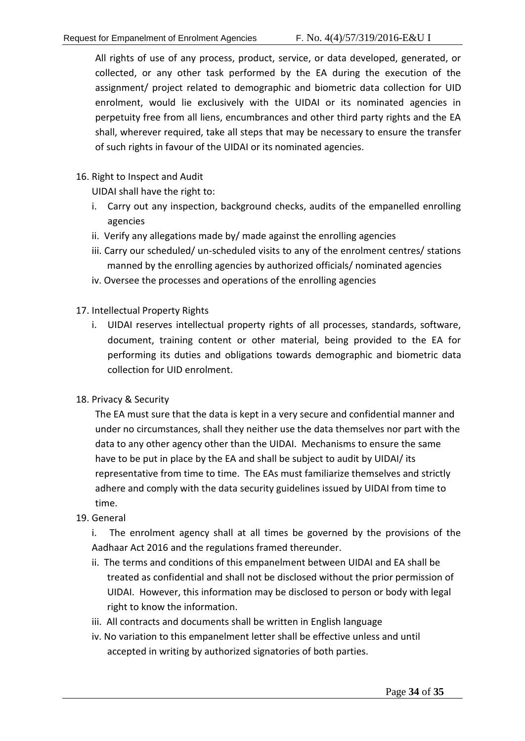All rights of use of any process, product, service, or data developed, generated, or collected, or any other task performed by the EA during the execution of the assignment/ project related to demographic and biometric data collection for UID enrolment, would lie exclusively with the UIDAI or its nominated agencies in perpetuity free from all liens, encumbrances and other third party rights and the EA shall, wherever required, take all steps that may be necessary to ensure the transfer of such rights in favour of the UIDAI or its nominated agencies.

16. Right to Inspect and Audit

UIDAI shall have the right to:

- i. Carry out any inspection, background checks, audits of the empanelled enrolling agencies
- ii. Verify any allegations made by/ made against the enrolling agencies
- iii. Carry our scheduled/ un-scheduled visits to any of the enrolment centres/ stations manned by the enrolling agencies by authorized officials/ nominated agencies
- iv. Oversee the processes and operations of the enrolling agencies
- 17. Intellectual Property Rights
	- i. UIDAI reserves intellectual property rights of all processes, standards, software, document, training content or other material, being provided to the EA for performing its duties and obligations towards demographic and biometric data collection for UID enrolment.
- 18. Privacy & Security

The EA must sure that the data is kept in a very secure and confidential manner and under no circumstances, shall they neither use the data themselves nor part with the data to any other agency other than the UIDAI. Mechanisms to ensure the same have to be put in place by the EA and shall be subject to audit by UIDAI/ its representative from time to time. The EAs must familiarize themselves and strictly adhere and comply with the data security guidelines issued by UIDAI from time to time.

19. General

i. The enrolment agency shall at all times be governed by the provisions of the Aadhaar Act 2016 and the regulations framed thereunder.

- ii. The terms and conditions of this empanelment between UIDAI and EA shall be treated as confidential and shall not be disclosed without the prior permission of UIDAI. However, this information may be disclosed to person or body with legal right to know the information.
- iii. All contracts and documents shall be written in English language
- iv. No variation to this empanelment letter shall be effective unless and until accepted in writing by authorized signatories of both parties.